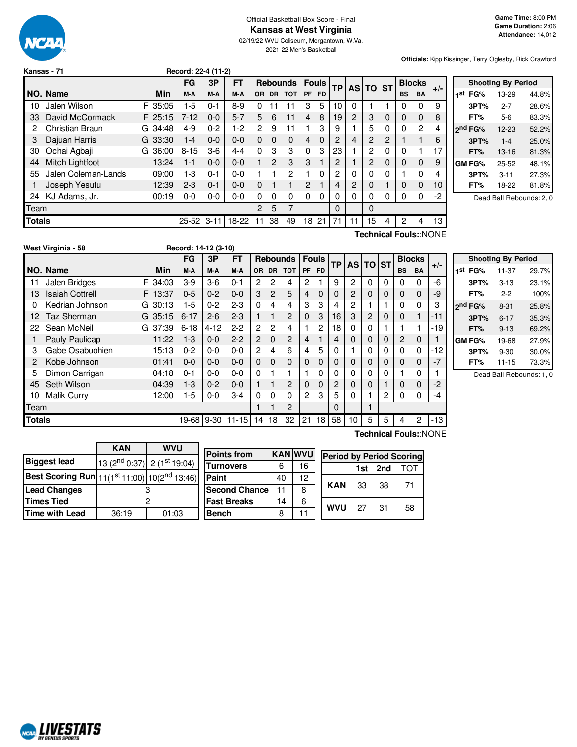

#### Official Basketball Box Score - Final **Kansas at West Virginia**

02/19/22 WVU Coliseum, Morgantown, W.Va. 2021-22 Men's Basketball

**Officials:** Kipp Kissinger, Terry Oglesby, Rick Crawford

|               | Kansas - 71            |   |         | Record: 22-4 (11-2) |         |         |                |                 |            |                |              |           |          |                |                |           |           |      |           |     |           |  |               |       |
|---------------|------------------------|---|---------|---------------------|---------|---------|----------------|-----------------|------------|----------------|--------------|-----------|----------|----------------|----------------|-----------|-----------|------|-----------|-----|-----------|--|---------------|-------|
|               |                        |   |         | <b>FG</b>           | 3P      | FT      |                | <b>Rebounds</b> |            |                | <b>Fouls</b> |           |          |                |                |           |           |      | <b>AS</b> | TO. | <b>ST</b> |  | <b>Blocks</b> | $+/-$ |
|               | NO. Name               |   | Min     | M-A                 | M-A     | M-A     | OR.            | <b>DR</b>       | <b>TOT</b> | <b>PF</b>      | <b>FD</b>    | <b>TP</b> |          |                |                | <b>BS</b> | <b>BA</b> |      |           |     |           |  |               |       |
| 10            | Jalen Wilson           | F | 35:05   | $1-5$               | 0-1     | $8-9$   | $\Omega$       | 11              | 11         | 3              | 5            | 10        | $\Omega$ |                |                | 0         | 0         | 9    |           |     |           |  |               |       |
| 33            | David McCormack        |   | F125:15 | $7 - 12$            | $0 - 0$ | $5 - 7$ | 5              | 6               | 11         | $\overline{4}$ | 8            | 19        | 2        | 3              | 0              | 0         | 0         | 8    |           |     |           |  |               |       |
| 2             | Christian Braun        | G | 34:48   | 4-9                 | $0 - 2$ | $1-2$   | $\overline{c}$ | 9               | 11         |                | 3            | 9         |          | 5              | 0              | 0         | 2         | 4    |           |     |           |  |               |       |
| 3             | Dajuan Harris          | G | 33:30   | $1 - 4$             | $0-0$   | $0 - 0$ | $\Omega$       | $\Omega$        | $\Omega$   | $\overline{4}$ | $\Omega$     | 2         | 4        | 2              | $\overline{2}$ |           |           | 6    |           |     |           |  |               |       |
| 30            | Ochai Agbaji           | G | 36:00   | $8 - 15$            | 3-6     | $4 - 4$ | $\Omega$       | 3               | 3          | $\Omega$       | 3            | 23        |          | $\overline{c}$ | 0              | $\Omega$  |           | 17   |           |     |           |  |               |       |
| 44            | <b>Mitch Lightfoot</b> |   | 13:24   | $1 - 1$             | $0 - 0$ | $0 - 0$ |                | $\overline{2}$  | 3          | 3              |              | 2         |          | 2              | 0              | 0         | 0         | 9    |           |     |           |  |               |       |
| 55            | Jalen Coleman-Lands    |   | 09:00   | $1-3$               | $0 - 1$ | $0 - 0$ |                |                 | 2          |                | 0            | 2         | 0        | 0              | 0              |           | 0         | 4    |           |     |           |  |               |       |
|               | Joseph Yesufu          |   | 12:39   | $2 - 3$             | $0 - 1$ | $0 - 0$ | $\Omega$       |                 |            | $\overline{2}$ |              | 4         | 2        | 0              |                | 0         | 0         | 10   |           |     |           |  |               |       |
| 24            | KJ Adams, Jr.          |   | 00:19   | $0-0$               | $0-0$   | $0 - 0$ | 0              | 0               | 0          | $\Omega$       | 0            | 0         | 0        | 0              | 0              | 0         | 0         | $-2$ |           |     |           |  |               |       |
| Team          |                        |   |         |                     |         |         | 2              | 5               | 7          |                |              | $\Omega$  |          | 0              |                |           |           |      |           |     |           |  |               |       |
| <b>Totals</b> |                        |   |         | $25 - 52$ 3-11      |         | 18-22   | 11             | 38              | 49         | 18             | 21           | 71        | 11       | 15             | 4              | 2         | 4         | 13   |           |     |           |  |               |       |
|               |                        |   |         |                     |         |         |                |                 |            |                |              |           | -        |                |                |           |           |      |           |     |           |  |               |       |

| <b>Shooting By Period</b> |                     |          |       |  |  |  |  |  |  |
|---------------------------|---------------------|----------|-------|--|--|--|--|--|--|
| 1st                       | FG%                 | 13-29    | 44.8% |  |  |  |  |  |  |
|                           | 3PT%                | $2 - 7$  | 28.6% |  |  |  |  |  |  |
|                           | FT%                 | 5-6      | 83.3% |  |  |  |  |  |  |
|                           | 2 <sup>nd</sup> FG% | 12-23    | 52.2% |  |  |  |  |  |  |
|                           | 3PT%                | $1 - 4$  | 25.0% |  |  |  |  |  |  |
|                           | FT%                 | $13-16$  | 81.3% |  |  |  |  |  |  |
|                           | <b>GM FG%</b>       | 25-52    | 48.1% |  |  |  |  |  |  |
|                           | 3PT%                | $3 - 11$ | 27.3% |  |  |  |  |  |  |
|                           | FT%                 | 18-22    | 81.8% |  |  |  |  |  |  |
|                           |                     | .        |       |  |  |  |  |  |  |

Dead Ball Rebounds: 2, 0

**West Virginia - 58 Record: 14-12 (3-10)**

**Technical Fouls:**:NONE

|               |                             |       | FG         | 3P       | <b>FT</b> |                |                | <b>Rebounds</b> |                | <b>Fouls</b> | <b>TP</b>      |                | AS TO ST    |          |                | <b>Blocks</b> | $+/-$ |
|---------------|-----------------------------|-------|------------|----------|-----------|----------------|----------------|-----------------|----------------|--------------|----------------|----------------|-------------|----------|----------------|---------------|-------|
|               | NO. Name                    | Min   | M-A        | M-A      | M-A       | OR.            |                | DR TOT          | PF             | <b>FD</b>    |                |                |             |          | <b>BS</b>      | <b>BA</b>     |       |
| 11            | F<br>Jalen Bridges          | 34:03 | $3-9$      | $3-6$    | $0 - 1$   | 2              | 2              | 4               | $\overline{2}$ |              | 9              | 2              | 0           | $\Omega$ | 0              | 0             | -6    |
| 13            | <b>Isaiah Cottrell</b><br>F | 13:37 | $0 - 5$    | $0 - 2$  | $0 - 0$   | 3              | $\overline{2}$ | 5               | 4              | $\Omega$     | $\Omega$       | $\overline{c}$ | $\Omega$    | $\Omega$ | 0              | 0             | -9    |
| 0             | Kedrian Johnson<br>G        | 30:13 | $1-5$      | $0 - 2$  | $2 - 3$   | $\Omega$       | 4              | 4               | 3              | 3            | 4              | 2              |             |          | 0              | 0             | 3     |
| 12            | Taz Sherman<br>G            | 35:15 | $6 - 17$   | $2 - 6$  | $2 - 3$   |                | 1              | $\overline{c}$  | $\Omega$       | 3            | 16             | 3              | 2           | $\Omega$ | 0              | 1             | $-11$ |
| 22            | Sean McNeil<br>G            | 37:39 | $6 - 18$   | $4 - 12$ | $2 - 2$   | $\overline{2}$ | 2              | 4               |                | 2            | 18             | 0              | 0           |          |                |               | $-19$ |
|               | Pauly Paulicap              | 11:22 | $1 - 3$    | $0-0$    | $2 - 2$   | $\overline{2}$ | 0              | $\overline{c}$  | 4              |              | $\overline{4}$ | 0              | $\mathbf 0$ | $\Omega$ | $\overline{c}$ | 0             |       |
| 3             | Gabe Osabuohien             | 15:13 | $0 - 2$    | $0-0$    | $0 - 0$   | 2              | 4              | 6               | 4              | 5            | $\Omega$       |                | 0           | $\Omega$ | 0              | 0             | -12   |
| 2             | Kobe Johnson                | 01:41 | $0 - 0$    | $0-0$    | $0 - 0$   | $\Omega$       | $\Omega$       | 0               | 0              | $\Omega$     | 0              | 0              | 0           | $\Omega$ | 0              | 0             | $-7$  |
| 5             | Dimon Carrigan              | 04:18 | $0 - 1$    | $0 - 0$  | $0 - 0$   | $\Omega$       | 1              | 1               |                | 0            | 0              | 0              | 0           | $\Omega$ |                | 0             |       |
| 45            | Seth Wilson                 | 04:39 | $1 - 3$    | $0 - 2$  | $0 - 0$   |                |                | $\overline{c}$  | $\mathbf 0$    | $\mathbf{0}$ | 2              | 0              | 0           |          | 0              | 0             | $-2$  |
| 10            | <b>Malik Curry</b>          | 12:00 | $1-5$      | $0-0$    | $3-4$     | $\Omega$       | $\Omega$       | 0               | $\overline{2}$ | 3            | 5              | 0              |             | 2        | 0              | 0             | -4    |
| Team          |                             |       |            |          |           |                |                | 2               |                |              | $\Omega$       |                |             |          |                |               |       |
| <b>Totals</b> |                             |       | 19-68 9-30 |          | $11 - 15$ | 14             | 18             | 32              | 21             | 18           | 58             | 10             | 5           | 5        | 4              | 2             | $-13$ |

|         |      | <b>Shooting By Period</b> |       |
|---------|------|---------------------------|-------|
| 1st     | FG%  | 11-37                     | 29.7% |
|         | 3PT% | $3 - 13$                  | 23.1% |
|         | FT%  | $2-2$                     | 100%  |
| ond FG% |      | $8 - 31$                  | 25.8% |
|         | 3PT% | $6 - 17$                  | 35.3% |
|         | FT%  | $9 - 13$                  | 69.2% |
| GM FG%  |      | 19-68                     | 27.9% |
|         | 3PT% | $9 - 30$                  | 30.0% |
|         | FT%  | $11 - 15$                 | 73.3% |

Dead Ball Rebounds: 1, 0

| <b>KAN</b> | <b>WVU</b> |                                                                          |                                                                                            |    |                |                          |          |                                             |
|------------|------------|--------------------------------------------------------------------------|--------------------------------------------------------------------------------------------|----|----------------|--------------------------|----------|---------------------------------------------|
|            |            |                                                                          |                                                                                            |    |                |                          |          |                                             |
|            |            | <b>Turnovers</b>                                                         | 6                                                                                          | 16 |                | 1st                      | 2nd      | TOT                                         |
|            |            | Paint                                                                    | 40                                                                                         | 12 |                |                          |          |                                             |
|            |            | <b>Second Chance</b>                                                     | 11                                                                                         | 8  |                |                          |          | 71                                          |
|            |            | <b>Fast Breaks</b>                                                       | 14                                                                                         | 6  |                |                          |          |                                             |
| 36:19      | 01:03      | <b>Bench</b>                                                             | 8                                                                                          | 11 |                |                          |          | 58                                          |
|            |            | $\left  13 \right  \left( 2^{nd} 0:37 \right)$ 2 (1 <sup>st</sup> 19:04) | <b>Points from</b><br>Best Scoring Run 11(1 <sup>st</sup> 11:00) 10(2 <sup>nd</sup> 13:46) |    | <b>KAN WVU</b> | <b>KAN</b><br><b>WVU</b> | 33<br>27 | <b>Period by Period Scoring</b><br>38<br>31 |

**Technical Fouls:**:NONE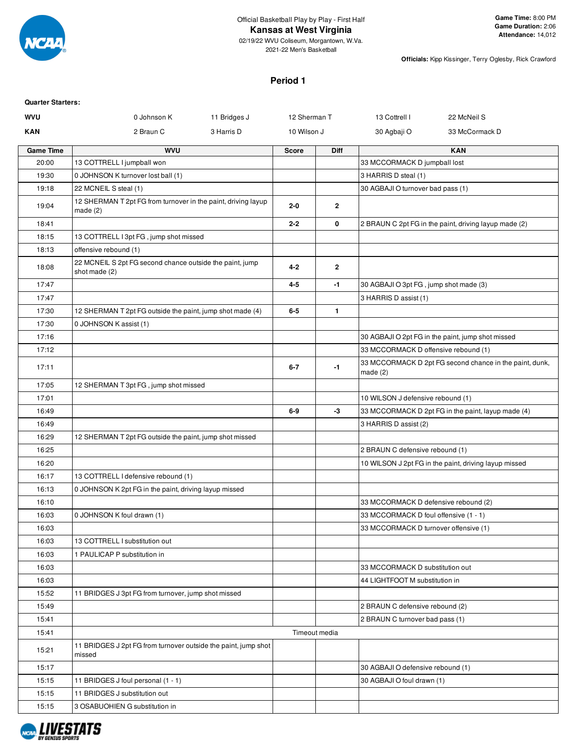

2021-22 Men's Basketball

**Officials:** Kipp Kissinger, Terry Oglesby, Rick Crawford

#### **Period 1**

| <b>Quarter Starters:</b> |                                                                           |              |              |                |                                        |                                                         |
|--------------------------|---------------------------------------------------------------------------|--------------|--------------|----------------|----------------------------------------|---------------------------------------------------------|
| <b>WVU</b>               | 0 Johnson K                                                               | 11 Bridges J | 12 Sherman T |                | 13 Cottrell I                          | 22 McNeil S                                             |
| KAN                      | 2 Braun C                                                                 | 3 Harris D   | 10 Wilson J  |                | 30 Agbaji O                            | 33 McCormack D                                          |
| <b>Game Time</b>         | <b>WVU</b>                                                                |              | <b>Score</b> | <b>Diff</b>    |                                        | <b>KAN</b>                                              |
| 20:00                    | 13 COTTRELL I jumpball won                                                |              |              |                | 33 MCCORMACK D jumpball lost           |                                                         |
| 19:30                    | 0 JOHNSON K turnover lost ball (1)                                        |              |              |                | 3 HARRIS D steal (1)                   |                                                         |
| 19:18                    | 22 MCNEIL S steal (1)                                                     |              |              |                | 30 AGBAJI O turnover bad pass (1)      |                                                         |
| 19:04                    | 12 SHERMAN T 2pt FG from turnover in the paint, driving layup<br>made (2) |              | $2 - 0$      | $\overline{2}$ |                                        |                                                         |
| 18:41                    |                                                                           |              | $2 - 2$      | 0              |                                        | 2 BRAUN C 2pt FG in the paint, driving layup made (2)   |
| 18:15                    | 13 COTTRELL I 3pt FG, jump shot missed                                    |              |              |                |                                        |                                                         |
| 18:13                    | offensive rebound (1)                                                     |              |              |                |                                        |                                                         |
| 18:08                    | 22 MCNEIL S 2pt FG second chance outside the paint, jump<br>shot made (2) |              | $4 - 2$      | $\overline{2}$ |                                        |                                                         |
| 17:47                    |                                                                           |              | 4-5          | -1             | 30 AGBAJI O 3pt FG, jump shot made (3) |                                                         |
| 17:47                    |                                                                           |              |              |                | 3 HARRIS D assist (1)                  |                                                         |
| 17:30                    | 12 SHERMAN T 2pt FG outside the paint, jump shot made (4)                 |              | $6-5$        | $\mathbf{1}$   |                                        |                                                         |
| 17:30                    | 0 JOHNSON K assist (1)                                                    |              |              |                |                                        |                                                         |
| 17:16                    |                                                                           |              |              |                |                                        | 30 AGBAJI O 2pt FG in the paint, jump shot missed       |
| 17:12                    |                                                                           |              |              |                | 33 MCCORMACK D offensive rebound (1)   |                                                         |
| 17:11                    |                                                                           |              | $6 - 7$      | $-1$           | made $(2)$                             | 33 MCCORMACK D 2pt FG second chance in the paint, dunk, |
| 17:05                    | 12 SHERMAN T 3pt FG, jump shot missed                                     |              |              |                |                                        |                                                         |
| 17:01                    |                                                                           |              |              |                | 10 WILSON J defensive rebound (1)      |                                                         |
| 16:49                    |                                                                           |              | $6-9$        | -3             |                                        | 33 MCCORMACK D 2pt FG in the paint, layup made (4)      |
| 16:49                    |                                                                           |              |              |                | 3 HARRIS D assist (2)                  |                                                         |
| 16:29                    | 12 SHERMAN T 2pt FG outside the paint, jump shot missed                   |              |              |                |                                        |                                                         |
| 16:25                    |                                                                           |              |              |                | 2 BRAUN C defensive rebound (1)        |                                                         |
| 16:20                    |                                                                           |              |              |                |                                        | 10 WILSON J 2pt FG in the paint, driving layup missed   |
| 16:17                    | 13 COTTRELL I defensive rebound (1)                                       |              |              |                |                                        |                                                         |
| 16:13                    | 0 JOHNSON K 2pt FG in the paint, driving layup missed                     |              |              |                |                                        |                                                         |
| 16:10                    |                                                                           |              |              |                | 33 MCCORMACK D defensive rebound (2)   |                                                         |
| 16:03                    | 0 JOHNSON K foul drawn (1)                                                |              |              |                | 33 MCCORMACK D foul offensive (1 - 1)  |                                                         |
| 16:03                    |                                                                           |              |              |                | 33 MCCORMACK D turnover offensive (1)  |                                                         |
| 16:03                    | 13 COTTRELL I substitution out                                            |              |              |                |                                        |                                                         |
| 16:03                    | 1 PAULICAP P substitution in                                              |              |              |                |                                        |                                                         |
| 16:03                    |                                                                           |              |              |                | 33 MCCORMACK D substitution out        |                                                         |
| 16:03                    |                                                                           |              |              |                | 44 LIGHTFOOT M substitution in         |                                                         |
| 15:52                    | 11 BRIDGES J 3pt FG from turnover, jump shot missed                       |              |              |                |                                        |                                                         |
| 15:49                    |                                                                           |              |              |                | 2 BRAUN C defensive rebound (2)        |                                                         |
| 15:41                    |                                                                           |              |              |                | 2 BRAUN C turnover bad pass (1)        |                                                         |
| 15:41                    |                                                                           |              |              | Timeout media  |                                        |                                                         |
| 15:21                    | 11 BRIDGES J 2pt FG from turnover outside the paint, jump shot<br>missed  |              |              |                |                                        |                                                         |
| 15:17                    |                                                                           |              |              |                | 30 AGBAJI O defensive rebound (1)      |                                                         |
| 15:15                    | 11 BRIDGES J foul personal (1 - 1)                                        |              |              |                | 30 AGBAJI O foul drawn (1)             |                                                         |
| 15:15                    | 11 BRIDGES J substitution out                                             |              |              |                |                                        |                                                         |
| 15:15                    | 3 OSABUOHIEN G substitution in                                            |              |              |                |                                        |                                                         |

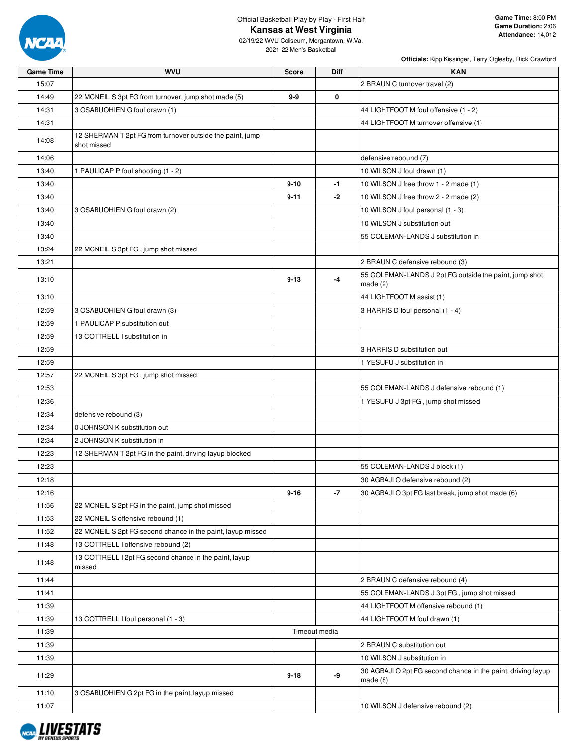

02/19/22 WVU Coliseum, Morgantown, W.Va. 2021-22 Men's Basketball

| <b>Game Time</b> | <b>WVU</b>                                                               | <b>Score</b> | <b>Diff</b>   | <b>KAN</b>                                                                 |
|------------------|--------------------------------------------------------------------------|--------------|---------------|----------------------------------------------------------------------------|
| 15:07            |                                                                          |              |               | 2 BRAUN C turnover travel (2)                                              |
| 14:49            | 22 MCNEIL S 3pt FG from turnover, jump shot made (5)                     | 9-9          | 0             |                                                                            |
| 14:31            | 3 OSABUOHIEN G foul drawn (1)                                            |              |               | 44 LIGHTFOOT M foul offensive (1 - 2)                                      |
| 14:31            |                                                                          |              |               | 44 LIGHTFOOT M turnover offensive (1)                                      |
| 14:08            | 12 SHERMAN T 2pt FG from turnover outside the paint, jump<br>shot missed |              |               |                                                                            |
| 14:06            |                                                                          |              |               | defensive rebound (7)                                                      |
| 13:40            | 1 PAULICAP P foul shooting (1 - 2)                                       |              |               | 10 WILSON J foul drawn (1)                                                 |
| 13:40            |                                                                          | $9 - 10$     | -1            | 10 WILSON J free throw 1 - 2 made (1)                                      |
| 13:40            |                                                                          | $9 - 11$     | -2            | 10 WILSON J free throw 2 - 2 made (2)                                      |
| 13:40            | 3 OSABUOHIEN G foul drawn (2)                                            |              |               | 10 WILSON J foul personal (1 - 3)                                          |
| 13:40            |                                                                          |              |               | 10 WILSON J substitution out                                               |
| 13:40            |                                                                          |              |               | 55 COLEMAN-LANDS J substitution in                                         |
| 13:24            | 22 MCNEIL S 3pt FG, jump shot missed                                     |              |               |                                                                            |
| 13:21            |                                                                          |              |               | 2 BRAUN C defensive rebound (3)                                            |
| 13:10            |                                                                          | $9 - 13$     | -4            | 55 COLEMAN-LANDS J 2pt FG outside the paint, jump shot<br>made $(2)$       |
| 13:10            |                                                                          |              |               | 44 LIGHTFOOT M assist (1)                                                  |
| 12:59            | 3 OSABUOHIEN G foul drawn (3)                                            |              |               | 3 HARRIS D foul personal (1 - 4)                                           |
| 12:59            | 1 PAULICAP P substitution out                                            |              |               |                                                                            |
| 12:59            | 13 COTTRELL I substitution in                                            |              |               |                                                                            |
| 12:59            |                                                                          |              |               | 3 HARRIS D substitution out                                                |
| 12:59            |                                                                          |              |               | 1 YESUFU J substitution in                                                 |
| 12:57            | 22 MCNEIL S 3pt FG, jump shot missed                                     |              |               |                                                                            |
| 12:53            |                                                                          |              |               | 55 COLEMAN-LANDS J defensive rebound (1)                                   |
| 12:36            |                                                                          |              |               | 1 YESUFU J 3pt FG, jump shot missed                                        |
| 12:34            | defensive rebound (3)                                                    |              |               |                                                                            |
| 12:34            | 0 JOHNSON K substitution out                                             |              |               |                                                                            |
| 12:34            | 2 JOHNSON K substitution in                                              |              |               |                                                                            |
| 12:23            | 12 SHERMAN T 2pt FG in the paint, driving layup blocked                  |              |               |                                                                            |
| 12:23            |                                                                          |              |               | 55 COLEMAN-LANDS J block (1)                                               |
| 12:18            |                                                                          |              |               | 30 AGBAJI O defensive rebound (2)                                          |
| 12:16            |                                                                          | 9-16         | -7            | 30 AGBAJI O 3pt FG fast break, jump shot made (6)                          |
| 11:56            | 22 MCNEIL S 2pt FG in the paint, jump shot missed                        |              |               |                                                                            |
| 11:53            | 22 MCNEIL S offensive rebound (1)                                        |              |               |                                                                            |
| 11:52            | 22 MCNEIL S 2pt FG second chance in the paint, layup missed              |              |               |                                                                            |
| 11:48            | 13 COTTRELL I offensive rebound (2)                                      |              |               |                                                                            |
| 11:48            | 13 COTTRELL I 2pt FG second chance in the paint, layup<br>missed         |              |               |                                                                            |
| 11:44            |                                                                          |              |               | 2 BRAUN C defensive rebound (4)                                            |
| 11:41            |                                                                          |              |               | 55 COLEMAN-LANDS J 3pt FG, jump shot missed                                |
| 11:39            |                                                                          |              |               | 44 LIGHTFOOT M offensive rebound (1)                                       |
| 11:39            | 13 COTTRELL I foul personal (1 - 3)                                      |              |               | 44 LIGHTFOOT M foul drawn (1)                                              |
| 11:39            |                                                                          |              | Timeout media |                                                                            |
| 11:39            |                                                                          |              |               | 2 BRAUN C substitution out                                                 |
| 11:39            |                                                                          |              |               | 10 WILSON J substitution in                                                |
| 11:29            |                                                                          | $9 - 18$     | -9            | 30 AGBAJI O 2pt FG second chance in the paint, driving layup<br>made $(8)$ |
| 11:10            | 3 OSABUOHIEN G 2pt FG in the paint, layup missed                         |              |               |                                                                            |
| 11:07            |                                                                          |              |               | 10 WILSON J defensive rebound (2)                                          |

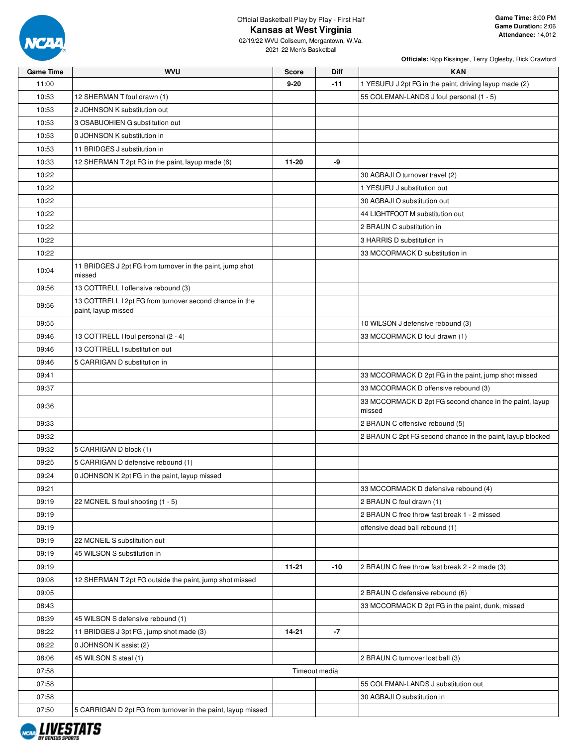

02/19/22 WVU Coliseum, Morgantown, W.Va. 2021-22 Men's Basketball

| <b>Game Time</b> | <b>WVU</b>                                                                     | <b>Score</b> | Diff          | <b>KAN</b>                                                        |
|------------------|--------------------------------------------------------------------------------|--------------|---------------|-------------------------------------------------------------------|
| 11:00            |                                                                                | $9 - 20$     | $-11$         | 1 YESUFU J 2pt FG in the paint, driving layup made (2)            |
| 10:53            | 12 SHERMAN T foul drawn (1)                                                    |              |               | 55 COLEMAN-LANDS J foul personal (1 - 5)                          |
| 10:53            | 2 JOHNSON K substitution out                                                   |              |               |                                                                   |
| 10:53            | 3 OSABUOHIEN G substitution out                                                |              |               |                                                                   |
| 10:53            | 0 JOHNSON K substitution in                                                    |              |               |                                                                   |
| 10:53            | 11 BRIDGES J substitution in                                                   |              |               |                                                                   |
| 10:33            | 12 SHERMAN T 2pt FG in the paint, layup made (6)                               | 11-20        | -9            |                                                                   |
| 10:22            |                                                                                |              |               | 30 AGBAJI O turnover travel (2)                                   |
| 10:22            |                                                                                |              |               | 1 YESUFU J substitution out                                       |
| 10:22            |                                                                                |              |               | 30 AGBAJI O substitution out                                      |
| 10:22            |                                                                                |              |               | 44 LIGHTFOOT M substitution out                                   |
| 10:22            |                                                                                |              |               | 2 BRAUN C substitution in                                         |
| 10:22            |                                                                                |              |               | 3 HARRIS D substitution in                                        |
| 10:22            |                                                                                |              |               | 33 MCCORMACK D substitution in                                    |
| 10:04            | 11 BRIDGES J 2pt FG from turnover in the paint, jump shot<br>missed            |              |               |                                                                   |
| 09:56            | 13 COTTRELL I offensive rebound (3)                                            |              |               |                                                                   |
| 09:56            | 13 COTTRELL I 2pt FG from turnover second chance in the<br>paint, layup missed |              |               |                                                                   |
| 09:55            |                                                                                |              |               | 10 WILSON J defensive rebound (3)                                 |
| 09:46            | 13 COTTRELL I foul personal (2 - 4)                                            |              |               | 33 MCCORMACK D foul drawn (1)                                     |
| 09:46            | 13 COTTRELL I substitution out                                                 |              |               |                                                                   |
| 09:46            | 5 CARRIGAN D substitution in                                                   |              |               |                                                                   |
| 09:41            |                                                                                |              |               | 33 MCCORMACK D 2pt FG in the paint, jump shot missed              |
| 09:37            |                                                                                |              |               | 33 MCCORMACK D offensive rebound (3)                              |
| 09:36            |                                                                                |              |               | 33 MCCORMACK D 2pt FG second chance in the paint, layup<br>missed |
| 09:33            |                                                                                |              |               | 2 BRAUN C offensive rebound (5)                                   |
| 09:32            |                                                                                |              |               | 2 BRAUN C 2pt FG second chance in the paint, layup blocked        |
| 09:32            | 5 CARRIGAN D block (1)                                                         |              |               |                                                                   |
| 09:25            | 5 CARRIGAN D defensive rebound (1)                                             |              |               |                                                                   |
| 09:24            | 0 JOHNSON K 2pt FG in the paint, layup missed                                  |              |               |                                                                   |
| 09:21            |                                                                                |              |               | 33 MCCORMACK D defensive rebound (4)                              |
| 09:19            | 22 MCNEIL S foul shooting (1 - 5)                                              |              |               | 2 BRAUN C foul drawn (1)                                          |
| 09:19            |                                                                                |              |               | 2 BRAUN C free throw fast break 1 - 2 missed                      |
| 09:19            |                                                                                |              |               | offensive dead ball rebound (1)                                   |
| 09:19            | 22 MCNEIL S substitution out                                                   |              |               |                                                                   |
| 09:19            | 45 WILSON S substitution in                                                    |              |               |                                                                   |
| 09:19            |                                                                                | $11 - 21$    | $-10$         | 2 BRAUN C free throw fast break 2 - 2 made (3)                    |
| 09:08            | 12 SHERMAN T 2pt FG outside the paint, jump shot missed                        |              |               |                                                                   |
| 09:05            |                                                                                |              |               | 2 BRAUN C defensive rebound (6)                                   |
| 08:43            |                                                                                |              |               | 33 MCCORMACK D 2pt FG in the paint, dunk, missed                  |
| 08:39            | 45 WILSON S defensive rebound (1)                                              |              |               |                                                                   |
| 08:22            | 11 BRIDGES J 3pt FG, jump shot made (3)                                        | 14-21        | $-7$          |                                                                   |
| 08:22            | 0 JOHNSON K assist (2)                                                         |              |               |                                                                   |
| 08:06            | 45 WILSON S steal (1)                                                          |              |               | 2 BRAUN C turnover lost ball (3)                                  |
| 07:58            |                                                                                |              | Timeout media |                                                                   |
| 07:58            |                                                                                |              |               | 55 COLEMAN-LANDS J substitution out                               |
| 07:58            |                                                                                |              |               | 30 AGBAJI O substitution in                                       |
| 07:50            | 5 CARRIGAN D 2pt FG from turnover in the paint, layup missed                   |              |               |                                                                   |

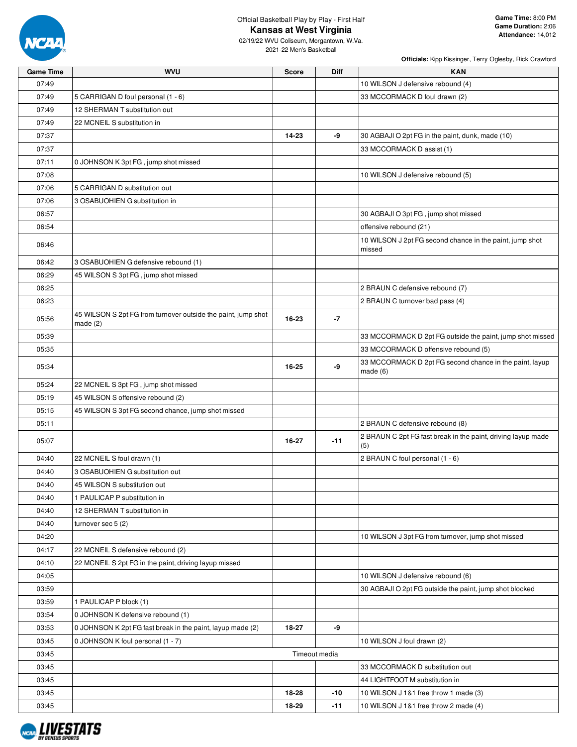

02/19/22 WVU Coliseum, Morgantown, W.Va. 2021-22 Men's Basketball

| <b>Game Time</b> | <b>WVU</b>                                                    | <b>Score</b>  | <b>Diff</b> | <b>KAN</b>                                                            |
|------------------|---------------------------------------------------------------|---------------|-------------|-----------------------------------------------------------------------|
| 07:49            |                                                               |               |             | 10 WILSON J defensive rebound (4)                                     |
| 07:49            | 5 CARRIGAN D foul personal (1 - 6)                            |               |             | 33 MCCORMACK D foul drawn (2)                                         |
| 07:49            | 12 SHERMAN T substitution out                                 |               |             |                                                                       |
| 07:49            | 22 MCNEIL S substitution in                                   |               |             |                                                                       |
| 07:37            |                                                               | 14-23         | -9          | 30 AGBAJI O 2pt FG in the paint, dunk, made (10)                      |
| 07:37            |                                                               |               |             | 33 MCCORMACK D assist (1)                                             |
| 07:11            | 0 JOHNSON K 3pt FG, jump shot missed                          |               |             |                                                                       |
| 07:08            |                                                               |               |             | 10 WILSON J defensive rebound (5)                                     |
| 07:06            | 5 CARRIGAN D substitution out                                 |               |             |                                                                       |
| 07:06            | 3 OSABUOHIEN G substitution in                                |               |             |                                                                       |
| 06:57            |                                                               |               |             | 30 AGBAJI O 3pt FG, jump shot missed                                  |
| 06:54            |                                                               |               |             | offensive rebound (21)                                                |
| 06:46            |                                                               |               |             | 10 WILSON J 2pt FG second chance in the paint, jump shot<br>missed    |
| 06:42            | 3 OSABUOHIEN G defensive rebound (1)                          |               |             |                                                                       |
| 06:29            | 45 WILSON S 3pt FG, jump shot missed                          |               |             |                                                                       |
| 06:25            |                                                               |               |             | 2 BRAUN C defensive rebound (7)                                       |
| 06:23            |                                                               |               |             | 2 BRAUN C turnover bad pass (4)                                       |
| 05:56            | 45 WILSON S 2pt FG from turnover outside the paint, jump shot | 16-23         | $-7$        |                                                                       |
| 05:39            | made(2)                                                       |               |             | 33 MCCORMACK D 2pt FG outside the paint, jump shot missed             |
| 05:35            |                                                               |               |             | 33 MCCORMACK D offensive rebound (5)                                  |
|                  |                                                               |               |             |                                                                       |
| 05:34            |                                                               | 16-25         | -9          | 33 MCCORMACK D 2pt FG second chance in the paint, layup<br>made $(6)$ |
| 05:24            | 22 MCNEIL S 3pt FG, jump shot missed                          |               |             |                                                                       |
| 05:19            | 45 WILSON S offensive rebound (2)                             |               |             |                                                                       |
| 05:15            | 45 WILSON S 3pt FG second chance, jump shot missed            |               |             |                                                                       |
| 05:11            |                                                               |               |             | 2 BRAUN C defensive rebound (8)                                       |
| 05:07            |                                                               | 16-27         | $-11$       | 2 BRAUN C 2pt FG fast break in the paint, driving layup made<br>(5)   |
| 04:40            | 22 MCNEIL S foul drawn (1)                                    |               |             | 2 BRAUN C foul personal (1 - 6)                                       |
| 04:40            | 3 OSABUOHIEN G substitution out                               |               |             |                                                                       |
| 04:40            | 45 WILSON S substitution out                                  |               |             |                                                                       |
| 04:40            | 1 PAULICAP P substitution in                                  |               |             |                                                                       |
| 04:40            | 12 SHERMAN T substitution in                                  |               |             |                                                                       |
| 04:40            | turnover sec $5(2)$                                           |               |             |                                                                       |
| 04:20            |                                                               |               |             | 10 WILSON J 3pt FG from turnover, jump shot missed                    |
| 04:17            | 22 MCNEIL S defensive rebound (2)                             |               |             |                                                                       |
| 04:10            | 22 MCNEIL S 2pt FG in the paint, driving layup missed         |               |             |                                                                       |
| 04:05            |                                                               |               |             | 10 WILSON J defensive rebound (6)                                     |
| 03:59            |                                                               |               |             | 30 AGBAJI O 2pt FG outside the paint, jump shot blocked               |
| 03:59            | 1 PAULICAP P block (1)                                        |               |             |                                                                       |
| 03:54            | 0 JOHNSON K defensive rebound (1)                             |               |             |                                                                       |
| 03:53            | 0 JOHNSON K 2pt FG fast break in the paint, layup made (2)    | 18-27         | -9          |                                                                       |
| 03:45            | 0 JOHNSON K foul personal (1 - 7)                             |               |             | 10 WILSON J foul drawn (2)                                            |
| 03:45            |                                                               | Timeout media |             |                                                                       |
| 03:45            |                                                               |               |             | 33 MCCORMACK D substitution out                                       |
| 03:45            |                                                               |               |             | 44 LIGHTFOOT M substitution in                                        |
| 03:45            |                                                               | 18-28         | $-10$       | 10 WILSON J 1&1 free throw 1 made (3)                                 |
| 03:45            |                                                               | 18-29         | $-11$       | 10 WILSON J 1&1 free throw 2 made (4)                                 |

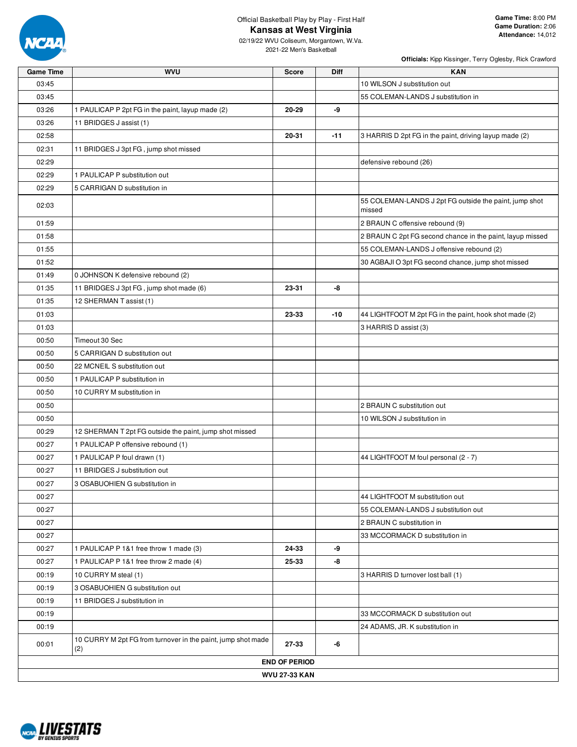

02/19/22 WVU Coliseum, Morgantown, W.Va. 2021-22 Men's Basketball

| <b>Game Time</b> | <b>WVU</b>                                                          | <b>Score</b>         | Diff  | <b>KAN</b>                                                       |
|------------------|---------------------------------------------------------------------|----------------------|-------|------------------------------------------------------------------|
| 03:45            |                                                                     |                      |       | 10 WILSON J substitution out                                     |
| 03:45            |                                                                     |                      |       | 55 COLEMAN-LANDS J substitution in                               |
| 03:26            | 1 PAULICAP P 2pt FG in the paint, layup made (2)                    | 20-29                | -9    |                                                                  |
| 03:26            | 11 BRIDGES J assist (1)                                             |                      |       |                                                                  |
| 02:58            |                                                                     | 20-31                | $-11$ | 3 HARRIS D 2pt FG in the paint, driving layup made (2)           |
| 02:31            | 11 BRIDGES J 3pt FG, jump shot missed                               |                      |       |                                                                  |
| 02:29            |                                                                     |                      |       | defensive rebound (26)                                           |
| 02:29            | 1 PAULICAP P substitution out                                       |                      |       |                                                                  |
| 02:29            | 5 CARRIGAN D substitution in                                        |                      |       |                                                                  |
| 02:03            |                                                                     |                      |       | 55 COLEMAN-LANDS J 2pt FG outside the paint, jump shot<br>missed |
| 01:59            |                                                                     |                      |       | 2 BRAUN C offensive rebound (9)                                  |
| 01:58            |                                                                     |                      |       | 2 BRAUN C 2pt FG second chance in the paint, layup missed        |
| 01:55            |                                                                     |                      |       | 55 COLEMAN-LANDS J offensive rebound (2)                         |
| 01:52            |                                                                     |                      |       | 30 AGBAJI O 3pt FG second chance, jump shot missed               |
| 01:49            | 0 JOHNSON K defensive rebound (2)                                   |                      |       |                                                                  |
| 01:35            | 11 BRIDGES J 3pt FG, jump shot made (6)                             | 23-31                | -8    |                                                                  |
| 01:35            | 12 SHERMAN T assist (1)                                             |                      |       |                                                                  |
| 01:03            |                                                                     | 23-33                | -10   | 44 LIGHTFOOT M 2pt FG in the paint, hook shot made (2)           |
| 01:03            |                                                                     |                      |       | 3 HARRIS D assist (3)                                            |
| 00:50            | Timeout 30 Sec                                                      |                      |       |                                                                  |
| 00:50            | 5 CARRIGAN D substitution out                                       |                      |       |                                                                  |
| 00:50            | 22 MCNEIL S substitution out                                        |                      |       |                                                                  |
| 00:50            | 1 PAULICAP P substitution in                                        |                      |       |                                                                  |
| 00:50            | 10 CURRY M substitution in                                          |                      |       |                                                                  |
| 00:50            |                                                                     |                      |       | 2 BRAUN C substitution out                                       |
| 00:50            |                                                                     |                      |       | 10 WILSON J substitution in                                      |
| 00:29            | 12 SHERMAN T 2pt FG outside the paint, jump shot missed             |                      |       |                                                                  |
| 00:27            | 1 PAULICAP P offensive rebound (1)                                  |                      |       |                                                                  |
| 00:27            | 1 PAULICAP P foul drawn (1)                                         |                      |       | 44 LIGHTFOOT M foul personal (2 - 7)                             |
| 00:27            | 11 BRIDGES J substitution out                                       |                      |       |                                                                  |
| 00:27            | 3 OSABUOHIEN G substitution in                                      |                      |       |                                                                  |
| 00:27            |                                                                     |                      |       | 44 LIGHTFOOT M substitution out                                  |
| 00:27            |                                                                     |                      |       | 55 COLEMAN-LANDS J substitution out                              |
| 00:27            |                                                                     |                      |       | 2 BRAUN C substitution in                                        |
| 00:27            |                                                                     |                      |       | 33 MCCORMACK D substitution in                                   |
| 00:27            | 1 PAULICAP P 1&1 free throw 1 made (3)                              | 24-33                | -9    |                                                                  |
| 00:27            | 1 PAULICAP P 1&1 free throw 2 made (4)                              | 25-33                | -8    |                                                                  |
| 00:19            | 10 CURRY M steal (1)                                                |                      |       | 3 HARRIS D turnover lost ball (1)                                |
| 00:19            | 3 OSABUOHIEN G substitution out                                     |                      |       |                                                                  |
| 00:19            | 11 BRIDGES J substitution in                                        |                      |       |                                                                  |
| 00:19            |                                                                     |                      |       | 33 MCCORMACK D substitution out                                  |
| 00:19            |                                                                     |                      |       | 24 ADAMS, JR. K substitution in                                  |
| 00:01            | 10 CURRY M 2pt FG from turnover in the paint, jump shot made<br>(2) | 27-33                | -6    |                                                                  |
|                  |                                                                     | <b>END OF PERIOD</b> |       |                                                                  |
|                  |                                                                     | <b>WVU 27-33 KAN</b> |       |                                                                  |

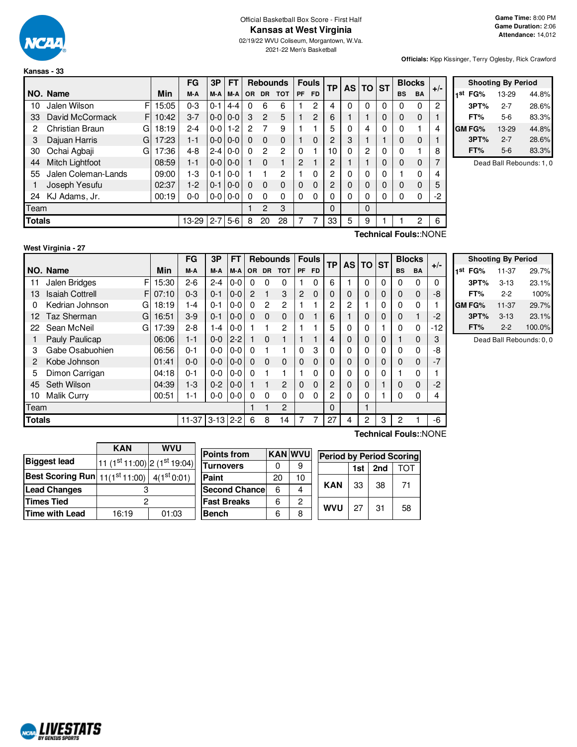

**Kansas - 33**

#### Official Basketball Box Score - First Half **Kansas at West Virginia**

02/19/22 WVU Coliseum, Morgantown, W.Va. 2021-22 Men's Basketball

**Officials:** Kipp Kissinger, Terry Oglesby, Rick Crawford

|               |                        |    |       | FG      | 3P      | <b>FT</b> |          | <b>Rebounds</b> |              |                | <b>Fouls</b>   | TP             | <b>AS</b> | TO             | <b>ST</b> | <b>Blocks</b> |                             | $+/-$ |
|---------------|------------------------|----|-------|---------|---------|-----------|----------|-----------------|--------------|----------------|----------------|----------------|-----------|----------------|-----------|---------------|-----------------------------|-------|
|               | NO. Name               |    | Min   | M-A     | M-A     | $M-A$     | OR.      | DR.             | <b>TOT</b>   | PF             | <b>FD</b>      |                |           |                |           | <b>BS</b>     | <b>BA</b>                   |       |
| 10            | Jalen Wilson           | F  | 15:05 | $0 - 3$ | $0 - 1$ | $4 - 4$   | $\Omega$ | 6               | 6            |                | 2              | 4              | 0         | $\Omega$       | 0         | 0             | 0                           | 2     |
| 33            | David McCormack        | FI | 10:42 | $3 - 7$ | $0-0$   | $0 - 0$   | 3        | $\overline{2}$  | 5            |                | $\overline{2}$ | 6              |           |                | $\Omega$  | $\mathbf 0$   | 0                           |       |
| 2             | <b>Christian Braun</b> | G  | 18:19 | $2 - 4$ | $0-0$   | $1-2$     | 2        | 7               | 9            |                |                | 5              | 0         | 4              | 0         | $\Omega$      |                             | 4     |
| 3             | Dajuan Harris          | G  | 17:23 | $1 - 1$ | $0-0$   | $0-0$     | $\Omega$ | $\Omega$        | $\mathbf{0}$ |                | 0              | $\overline{c}$ | 3         |                |           | $\Omega$      | $\mathbf 0$                 |       |
| 30            | Ochai Agbaji           | G  | 17:36 | $4 - 8$ | $2 - 4$ | $0-0$     | $\Omega$ | $\overline{2}$  | 2            | $\Omega$       |                | 10             | 0         | $\overline{2}$ | $\Omega$  | $\mathbf{0}$  |                             | 8     |
| 44            | Mitch Lightfoot        |    | 08:59 | $1 - 1$ | $0-0$   | $0-0$     |          | $\Omega$        |              | $\overline{c}$ |                | 2              |           |                | $\Omega$  | $\Omega$      | $\Omega$                    | ⇁     |
| 55            | Jalen Coleman-Lands    |    | 09:00 | $1-3$   | $0 - 1$ | $0-0$     |          |                 | 2            |                | 0              | 2              | 0         | $\Omega$       | 0         |               | 0                           | 4     |
|               | Joseph Yesufu          |    | 02:37 | $1-2$   | $0 - 1$ | $0-0$     | $\Omega$ | $\Omega$        | $\mathbf{0}$ | $\Omega$       | $\Omega$       | 2              | $\Omega$  | $\mathbf 0$    | $\Omega$  | $\Omega$      | $\Omega$                    | 5     |
| 24            | KJ Adams, Jr.          |    | 00:19 | $0 - 0$ | $0-0$   | $0-0$     | $\Omega$ | $\Omega$        | 0            | 0              | $\Omega$       | 0              | 0         | $\Omega$       |           | 0             | 0                           | -2    |
| Team          |                        |    |       |         |         |           |          | $\overline{2}$  | 3            |                |                | 0              |           | $\Omega$       |           |               |                             |       |
| <b>Totals</b> |                        |    |       | 13-29   | $2 - 7$ | $5-6$     | 8        | 20              | 28           |                | 7              | 33             | 5         | 9              |           |               | 2                           | 6     |
|               |                        |    |       |         |         |           |          |                 |              |                |                |                |           |                |           |               | $\sim$ $\sim$ $\sim$ $\sim$ |       |

|     | <b>Shooting By Period</b> |         |       |  |  |  |  |  |  |  |  |  |
|-----|---------------------------|---------|-------|--|--|--|--|--|--|--|--|--|
| 1st | FG%                       | 13-29   | 44.8% |  |  |  |  |  |  |  |  |  |
|     | 3PT%                      | $2 - 7$ | 28.6% |  |  |  |  |  |  |  |  |  |
|     | FT%                       | 5-6     | 83.3% |  |  |  |  |  |  |  |  |  |
|     | <b>GM FG%</b>             | 13-29   | 44.8% |  |  |  |  |  |  |  |  |  |
|     | 3PT%                      | $2 - 7$ | 28.6% |  |  |  |  |  |  |  |  |  |
|     | FT%                       | $5-6$   | 83.3% |  |  |  |  |  |  |  |  |  |

Dead Ball Rebounds: 1, 0

|  | West Virginia - 27 |  |
|--|--------------------|--|
|--|--------------------|--|

**Technical Fouls:**:NONE

| <b>TP</b><br>TO ST<br><b>AS</b><br><b>Min</b><br>NO. Name<br>M-A<br>$M-A$<br><b>DR</b><br><b>TOT</b><br><b>PF</b><br>F <sub>D</sub><br><b>BS</b><br><b>BA</b><br>M-A<br><b>OR</b><br>F<br>6<br>Jalen Bridges<br>15:30<br>$2-6$<br>$0-0$<br>$\Omega$<br>0<br>$2 - 4$<br>0<br>0<br>0<br>0<br>0<br>$\Omega$<br>11<br><b>Isaiah Cottrell</b><br>3<br>2<br>0<br>$\mathbf 0$<br>F.<br>07:10<br>$0 - 3$<br>$0 - 0$<br>$\mathcal{P}$<br>$\mathbf 0$<br>0<br>0<br>$0 - 1$<br>0<br>0<br>13<br>2<br>2<br>$\mathbf 0$<br>Kedrian Johnson<br>$0-0$<br>2<br>2<br>$\Omega$<br>18:19<br>0<br>G<br>$\Omega$<br>1-4<br>$0 - 1$<br>0<br>0<br>Taz Sherman<br>$3-9$<br>$0-0$<br>$\Omega$<br>$\mathbf 0$<br>$\Omega$<br>0<br>1<br>16:51<br>$0 - 1$<br>6<br>0<br>12<br>G<br>$\Omega$<br>5<br>$\mathbf 0$<br>Sean McNeil<br>17:39<br>$2 - 8$<br>$0-0$<br>2<br>0<br>0<br>0<br>22<br>G<br>1-4 | $+/-$<br>$\Omega$<br>-8 |
|---------------------------------------------------------------------------------------------------------------------------------------------------------------------------------------------------------------------------------------------------------------------------------------------------------------------------------------------------------------------------------------------------------------------------------------------------------------------------------------------------------------------------------------------------------------------------------------------------------------------------------------------------------------------------------------------------------------------------------------------------------------------------------------------------------------------------------------------------------------------|-------------------------|
|                                                                                                                                                                                                                                                                                                                                                                                                                                                                                                                                                                                                                                                                                                                                                                                                                                                                     |                         |
|                                                                                                                                                                                                                                                                                                                                                                                                                                                                                                                                                                                                                                                                                                                                                                                                                                                                     |                         |
|                                                                                                                                                                                                                                                                                                                                                                                                                                                                                                                                                                                                                                                                                                                                                                                                                                                                     |                         |
|                                                                                                                                                                                                                                                                                                                                                                                                                                                                                                                                                                                                                                                                                                                                                                                                                                                                     | 4                       |
|                                                                                                                                                                                                                                                                                                                                                                                                                                                                                                                                                                                                                                                                                                                                                                                                                                                                     | $-2$                    |
|                                                                                                                                                                                                                                                                                                                                                                                                                                                                                                                                                                                                                                                                                                                                                                                                                                                                     | -12                     |
| Pauly Paulicap<br>$2 - 2$<br>$\Omega$<br>0<br>$\mathbf 0$<br>06:06<br>$0 - 0$<br>0<br>0<br>$1 - 1$<br>4                                                                                                                                                                                                                                                                                                                                                                                                                                                                                                                                                                                                                                                                                                                                                             | 3                       |
| Gabe Osabuohien<br>0<br>0<br>06:56<br>$0 - 1$<br>$0-0$<br>3<br>0<br>0<br>0<br>$0-0$<br>0<br>0<br>3<br>$\Omega$                                                                                                                                                                                                                                                                                                                                                                                                                                                                                                                                                                                                                                                                                                                                                      | -8                      |
| $\mathbf 0$<br>$\Omega$<br>0<br>$\Omega$<br>Kobe Johnson<br>$0 - 0$<br>$0 - 0$<br>$0-0$<br>$\Omega$<br>$\Omega$<br>$\Omega$<br>0<br>01:41<br>0<br>0<br>2<br>$\Omega$                                                                                                                                                                                                                                                                                                                                                                                                                                                                                                                                                                                                                                                                                                | $-7$                    |
| Dimon Carrigan<br>0<br>0<br>0<br>0<br>04:18<br>$0-0$<br>$0-0$<br>0<br>$0 - 1$<br>0<br>5<br>$\Omega$                                                                                                                                                                                                                                                                                                                                                                                                                                                                                                                                                                                                                                                                                                                                                                 | 1                       |
| $\mathbf 0$<br>Seth Wilson<br>$1 - 3$<br>$0 - 2$<br>2<br>0<br>45<br>04:39<br>$0-0$<br>0<br>0<br>2<br>0<br>0                                                                                                                                                                                                                                                                                                                                                                                                                                                                                                                                                                                                                                                                                                                                                         | $-2$                    |
| $0-0$<br><b>Malik Curry</b><br>00:51<br>$\Omega$<br>0<br>0<br>0<br>$\Omega$<br>$0-0$<br>2<br>0<br>0<br>10<br>$1 - 1$<br>$\Omega$<br>0                                                                                                                                                                                                                                                                                                                                                                                                                                                                                                                                                                                                                                                                                                                               | 4                       |
| Team<br>$\overline{c}$<br>0                                                                                                                                                                                                                                                                                                                                                                                                                                                                                                                                                                                                                                                                                                                                                                                                                                         |                         |
| $3-13$ 2-2<br><b>Totals</b><br>27<br>2<br>3<br>$11 - 37$<br>6<br>8<br>14<br>7<br>2<br>4                                                                                                                                                                                                                                                                                                                                                                                                                                                                                                                                                                                                                                                                                                                                                                             | -6                      |

| <b>Shooting By Period</b> |          |        |  |  |  |  |  |  |  |  |  |  |
|---------------------------|----------|--------|--|--|--|--|--|--|--|--|--|--|
| 1st<br>FG%                | 11-37    | 29.7%  |  |  |  |  |  |  |  |  |  |  |
| 3PT%                      | $3 - 13$ | 23.1%  |  |  |  |  |  |  |  |  |  |  |
| FT%                       | $2-2$    | 100%   |  |  |  |  |  |  |  |  |  |  |
| GM FG%                    | 11-37    | 29.7%  |  |  |  |  |  |  |  |  |  |  |
| 3PT%                      | $3 - 13$ | 23.1%  |  |  |  |  |  |  |  |  |  |  |
| FT%                       | $2 - 2$  | 100.0% |  |  |  |  |  |  |  |  |  |  |

Dead Ball Rebounds: 0, 0

|                                                       | <b>KAN</b>                   | <b>WVU</b> |  |  |  |  |
|-------------------------------------------------------|------------------------------|------------|--|--|--|--|
| <b>Biggest lead</b>                                   | 11 (1st 11:00) 2 (1st 19:04) |            |  |  |  |  |
| <b>Best Scoring Run</b> $11(1^{st}11:00)$ 4(1st 0:01) |                              |            |  |  |  |  |
| <b>Lead Changes</b>                                   |                              |            |  |  |  |  |
| <b>Times Tied</b>                                     | 2                            |            |  |  |  |  |
| <b>Time with Lead</b>                                 | 16:19                        | 01:03      |  |  |  |  |

| <b>Points from</b>    |    | <b>KAN WVU</b> | <b>Period by Period Scoring</b> |     |     |    |  |  |  |  |  |
|-----------------------|----|----------------|---------------------------------|-----|-----|----|--|--|--|--|--|
| <b>Turnovers</b>      |    | 9              |                                 | 1st | 2nd |    |  |  |  |  |  |
| Paint                 | 20 | 10             |                                 |     |     |    |  |  |  |  |  |
| <b>Second Chancel</b> | 6  |                | <b>KAN</b>                      | 33  | 38  | 71 |  |  |  |  |  |
| <b>Fast Breaks</b>    | 6  | 2              | <b>WVU</b>                      |     |     |    |  |  |  |  |  |
| <b>Bench</b>          | 6  | 8              |                                 | 27  | 31  | 58 |  |  |  |  |  |

**Technical Fouls:**:NONE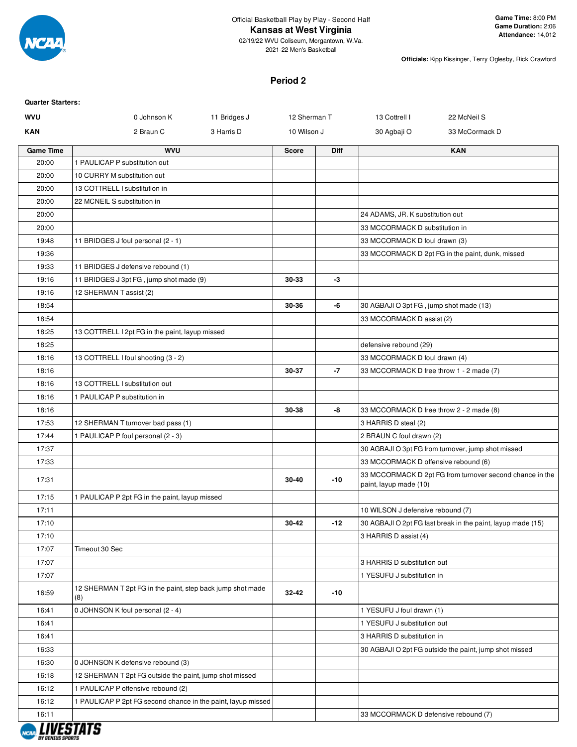

2021-22 Men's Basketball

**Officials:** Kipp Kissinger, Terry Oglesby, Rick Crawford

#### **Period 2**

| <b>WVU</b>       | 0 Johnson K                                                       | 11 Bridges J<br>12 Sherman T |             | 13 Cottrell I                            | 22 McNeil S                                                 |  |  |
|------------------|-------------------------------------------------------------------|------------------------------|-------------|------------------------------------------|-------------------------------------------------------------|--|--|
| <b>KAN</b>       | 2 Braun C                                                         | 3 Harris D<br>10 Wilson J    |             | 30 Agbaji O                              | 33 McCormack D                                              |  |  |
| <b>Game Time</b> | <b>WVU</b>                                                        | <b>Score</b>                 | <b>Diff</b> |                                          | <b>KAN</b>                                                  |  |  |
| 20:00            | 1 PAULICAP P substitution out                                     |                              |             |                                          |                                                             |  |  |
| 20:00            | 10 CURRY M substitution out                                       |                              |             |                                          |                                                             |  |  |
| 20:00            | 13 COTTRELL I substitution in                                     |                              |             |                                          |                                                             |  |  |
| 20:00            | 22 MCNEIL S substitution in                                       |                              |             |                                          |                                                             |  |  |
| 20:00            |                                                                   |                              |             | 24 ADAMS, JR. K substitution out         |                                                             |  |  |
| 20:00            |                                                                   |                              |             | 33 MCCORMACK D substitution in           |                                                             |  |  |
| 19:48            | 11 BRIDGES J foul personal (2 - 1)                                |                              |             | 33 MCCORMACK D foul drawn (3)            |                                                             |  |  |
| 19:36            |                                                                   |                              |             |                                          | 33 MCCORMACK D 2pt FG in the paint, dunk, missed            |  |  |
| 19:33            | 11 BRIDGES J defensive rebound (1)                                |                              |             |                                          |                                                             |  |  |
| 19:16            | 11 BRIDGES J 3pt FG, jump shot made (9)                           | 30-33                        | -3          |                                          |                                                             |  |  |
| 19:16            | 12 SHERMAN T assist (2)                                           |                              |             |                                          |                                                             |  |  |
| 18:54            |                                                                   | 30-36                        | -6          | 30 AGBAJI O 3pt FG, jump shot made (13)  |                                                             |  |  |
| 18:54            |                                                                   |                              |             | 33 MCCORMACK D assist (2)                |                                                             |  |  |
| 18:25            | 13 COTTRELL I 2pt FG in the paint, layup missed                   |                              |             |                                          |                                                             |  |  |
| 18:25            |                                                                   |                              |             | defensive rebound (29)                   |                                                             |  |  |
| 18:16            | 13 COTTRELL I foul shooting (3 - 2)                               |                              |             | 33 MCCORMACK D foul drawn (4)            |                                                             |  |  |
| 18:16            |                                                                   | 30-37                        | -7          | 33 MCCORMACK D free throw 1 - 2 made (7) |                                                             |  |  |
| 18:16            | 13 COTTRELL I substitution out                                    |                              |             |                                          |                                                             |  |  |
| 18:16            | 1 PAULICAP P substitution in                                      |                              |             |                                          |                                                             |  |  |
| 18:16            |                                                                   | 30-38                        | -8          | 33 MCCORMACK D free throw 2 - 2 made (8) |                                                             |  |  |
| 17:53            | 12 SHERMAN T turnover bad pass (1)                                |                              |             | 3 HARRIS D steal (2)                     |                                                             |  |  |
| 17:44            | 1 PAULICAP P foul personal (2 - 3)                                |                              |             | 2 BRAUN C foul drawn (2)                 |                                                             |  |  |
| 17:37            |                                                                   |                              |             |                                          | 30 AGBAJI O 3pt FG from turnover, jump shot missed          |  |  |
| 17:33            |                                                                   |                              |             | 33 MCCORMACK D offensive rebound (6)     |                                                             |  |  |
| 17:31            |                                                                   | 30-40                        | $-10$       | paint, layup made (10)                   | 33 MCCORMACK D 2pt FG from turnover second chance in the    |  |  |
| 17:15            | 1 PAULICAP P 2pt FG in the paint, layup missed                    |                              |             |                                          |                                                             |  |  |
| 17:11            |                                                                   |                              |             | 10 WILSON J defensive rebound (7)        |                                                             |  |  |
| 17:10            |                                                                   | $30 - 42$                    | $-12$       |                                          | 30 AGBAJI O 2pt FG fast break in the paint, layup made (15) |  |  |
| 17:10            |                                                                   |                              |             | 3 HARRIS D assist (4)                    |                                                             |  |  |
| 17:07            | Timeout 30 Sec                                                    |                              |             |                                          |                                                             |  |  |
| 17:07            |                                                                   |                              |             | 3 HARRIS D substitution out              |                                                             |  |  |
| 17:07            |                                                                   |                              |             | 1 YESUFU J substitution in               |                                                             |  |  |
| 16:59            | 12 SHERMAN T 2pt FG in the paint, step back jump shot made<br>(8) | 32-42                        | $-10$       |                                          |                                                             |  |  |
| 16:41            | 0 JOHNSON K foul personal (2 - 4)                                 |                              |             | 1 YESUFU J foul drawn (1)                |                                                             |  |  |
| 16:41            |                                                                   |                              |             | 1 YESUFU J substitution out              |                                                             |  |  |
| 16:41            |                                                                   |                              |             | 3 HARRIS D substitution in               |                                                             |  |  |
| 16:33            |                                                                   |                              |             |                                          | 30 AGBAJI O 2pt FG outside the paint, jump shot missed      |  |  |
| 16:30            | 0 JOHNSON K defensive rebound (3)                                 |                              |             |                                          |                                                             |  |  |
| 16:18            | 12 SHERMAN T 2pt FG outside the paint, jump shot missed           |                              |             |                                          |                                                             |  |  |
| 16:12            | 1 PAULICAP P offensive rebound (2)                                |                              |             |                                          |                                                             |  |  |
| 16:12            | 1 PAULICAP P 2pt FG second chance in the paint, layup missed      |                              |             |                                          |                                                             |  |  |
| 16:11            |                                                                   |                              |             | 33 MCCORMACK D defensive rebound (7)     |                                                             |  |  |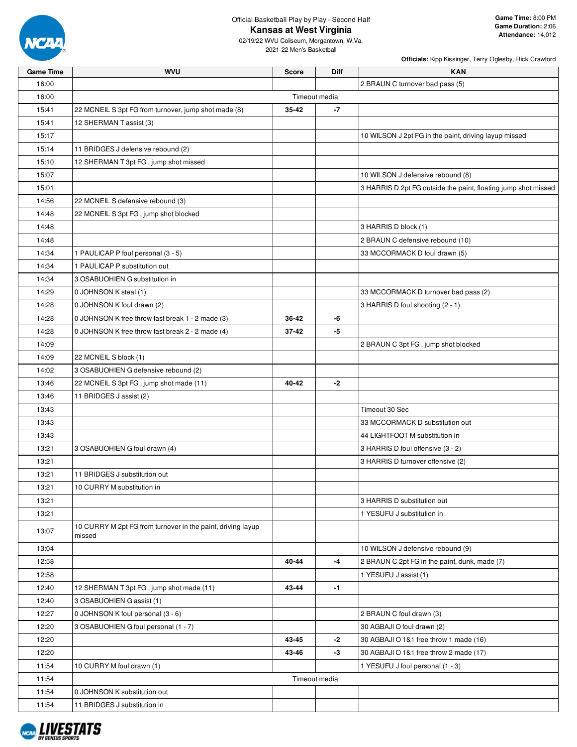

02/19/22 WVU Coliseum, Morgantown, W.Va. 2021-22 Men's Basketball

| <b>Game Time</b> | <b>WVU</b>                                                            | <b>Score</b>  | Diff | <b>KAN</b>                                                     |
|------------------|-----------------------------------------------------------------------|---------------|------|----------------------------------------------------------------|
| 16:00            |                                                                       |               |      | 2 BRAUN C turnover bad pass (5)                                |
| 16:00            |                                                                       | Timeout media |      |                                                                |
| 15:41            | 22 MCNEIL S 3pt FG from turnover, jump shot made (8)                  | 35-42         | -7   |                                                                |
| 15:41            | 12 SHERMAN T assist (3)                                               |               |      |                                                                |
| 15:17            |                                                                       |               |      | 10 WILSON J 2pt FG in the paint, driving layup missed          |
| 15:14            | 11 BRIDGES J defensive rebound (2)                                    |               |      |                                                                |
| 15:10            | 12 SHERMAN T 3pt FG, jump shot missed                                 |               |      |                                                                |
| 15:07            |                                                                       |               |      | 10 WILSON J defensive rebound (8)                              |
| 15:01            |                                                                       |               |      | 3 HARRIS D 2pt FG outside the paint, floating jump shot missed |
| 14:56            | 22 MCNEIL S defensive rebound (3)                                     |               |      |                                                                |
| 14:48            | 22 MCNEIL S 3pt FG, jump shot blocked                                 |               |      |                                                                |
| 14:48            |                                                                       |               |      | 3 HARRIS D block (1)                                           |
| 14:48            |                                                                       |               |      | 2 BRAUN C defensive rebound (10)                               |
| 14:34            | 1 PAULICAP P foul personal (3 - 5)                                    |               |      | 33 MCCORMACK D foul drawn (5)                                  |
| 14:34            | 1 PAULICAP P substitution out                                         |               |      |                                                                |
| 14:34            | 3 OSABUOHIEN G substitution in                                        |               |      |                                                                |
| 14:29            | 0 JOHNSON K steal (1)                                                 |               |      | 33 MCCORMACK D turnover bad pass (2)                           |
| 14:28            | 0 JOHNSON K foul drawn (2)                                            |               |      | 3 HARRIS D foul shooting (2 - 1)                               |
| 14:28            | 0 JOHNSON K free throw fast break 1 - 2 made (3)                      | 36-42         | -6   |                                                                |
| 14:28            | 0 JOHNSON K free throw fast break 2 - 2 made (4)                      | 37-42         | -5   |                                                                |
| 14:09            |                                                                       |               |      | 2 BRAUN C 3pt FG, jump shot blocked                            |
| 14:09            | 22 MCNEIL S block (1)                                                 |               |      |                                                                |
| 14:02            | 3 OSABUOHIEN G defensive rebound (2)                                  |               |      |                                                                |
| 13:46            | 22 MCNEIL S 3pt FG, jump shot made (11)                               | 40-42         | -2   |                                                                |
| 13:46            | 11 BRIDGES J assist (2)                                               |               |      |                                                                |
| 13:43            |                                                                       |               |      | Timeout 30 Sec                                                 |
| 13:43            |                                                                       |               |      | 33 MCCORMACK D substitution out                                |
| 13:43            |                                                                       |               |      | 44 LIGHTFOOT M substitution in                                 |
| 13:21            | 3 OSABUOHIEN G foul drawn (4)                                         |               |      | 3 HARRIS D foul offensive (3 - 2)                              |
| 13:21            |                                                                       |               |      | 3 HARRIS D turnover offensive (2)                              |
| 13:21            | 11 BRIDGES J substitution out                                         |               |      |                                                                |
| 13:21            | 10 CURRY M substitution in                                            |               |      |                                                                |
| 13:21            |                                                                       |               |      | 3 HARRIS D substitution out                                    |
| 13:21            |                                                                       |               |      | 1 YESUFU J substitution in                                     |
| 13:07            | 10 CURRY M 2pt FG from turnover in the paint, driving layup<br>missed |               |      |                                                                |
| 13:04            |                                                                       |               |      | 10 WILSON J defensive rebound (9)                              |
| 12:58            |                                                                       | 40-44         | $-4$ | 2 BRAUN C 2pt FG in the paint, dunk, made (7)                  |
| 12:58            |                                                                       |               |      | 1 YESUFU J assist (1)                                          |
| 12:40            | 12 SHERMAN T 3pt FG, jump shot made (11)                              | 43-44         | $-1$ |                                                                |
| 12:40            | 3 OSABUOHIEN G assist (1)                                             |               |      |                                                                |
| 12:27            | 0 JOHNSON K foul personal (3 - 6)                                     |               |      | 2 BRAUN C foul drawn (3)                                       |
| 12:20            | 3 OSABUOHIEN G foul personal (1 - 7)                                  |               |      | 30 AGBAJI O foul drawn (2)                                     |
| 12:20            |                                                                       | 43-45         | -2   | 30 AGBAJI O 1&1 free throw 1 made (16)                         |
| 12:20            |                                                                       | 43-46         | $-3$ | 30 AGBAJI O 1&1 free throw 2 made (17)                         |
| 11:54            | 10 CURRY M foul drawn (1)                                             |               |      | 1 YESUFU J foul personal (1 - 3)                               |
| 11:54            |                                                                       | Timeout media |      |                                                                |
| 11:54            | 0 JOHNSON K substitution out                                          |               |      |                                                                |
| 11.54            | 11 BRIDGES J substitution in                                          |               |      |                                                                |

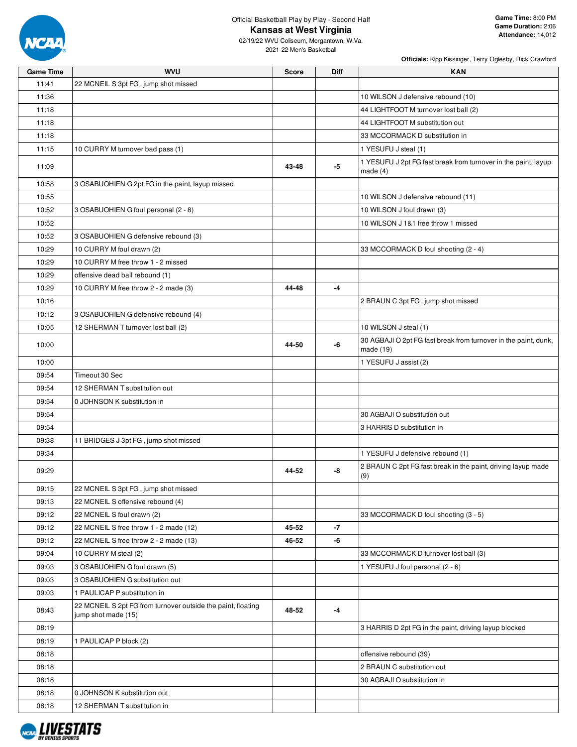

**Game Time:** 8:00 PM **Game Duration:** 2:06 **Attendance:** 14,012

02/19/22 WVU Coliseum, Morgantown, W.Va. 2021-22 Men's Basketball

| <b>Game Time</b> | wvu                                                                                 | Score | Diff | KAN                                                                          |
|------------------|-------------------------------------------------------------------------------------|-------|------|------------------------------------------------------------------------------|
| 11:41            | 22 MCNEIL S 3pt FG, jump shot missed                                                |       |      |                                                                              |
| 11:36            |                                                                                     |       |      | 10 WILSON J defensive rebound (10)                                           |
| 11:18            |                                                                                     |       |      | 44 LIGHTFOOT M turnover lost ball (2)                                        |
| 11:18            |                                                                                     |       |      | 44 LIGHTFOOT M substitution out                                              |
| 11:18            |                                                                                     |       |      | 33 MCCORMACK D substitution in                                               |
| 11:15            | 10 CURRY M turnover bad pass (1)                                                    |       |      | 1 YESUFU J steal (1)                                                         |
| 11:09            |                                                                                     | 43-48 | -5   | 1 YESUFU J 2pt FG fast break from turnover in the paint, layup<br>made $(4)$ |
| 10:58            | 3 OSABUOHIEN G 2pt FG in the paint, layup missed                                    |       |      |                                                                              |
| 10:55            |                                                                                     |       |      | 10 WILSON J defensive rebound (11)                                           |
| 10:52            | 3 OSABUOHIEN G foul personal (2 - 8)                                                |       |      | 10 WILSON J foul drawn (3)                                                   |
| 10:52            |                                                                                     |       |      | 10 WILSON J 1&1 free throw 1 missed                                          |
| 10:52            | 3 OSABUOHIEN G defensive rebound (3)                                                |       |      |                                                                              |
| 10:29            | 10 CURRY M foul drawn (2)                                                           |       |      | 33 MCCORMACK D foul shooting (2 - 4)                                         |
| 10:29            | 10 CURRY M free throw 1 - 2 missed                                                  |       |      |                                                                              |
| 10:29            | offensive dead ball rebound (1)                                                     |       |      |                                                                              |
| 10:29            | 10 CURRY M free throw 2 - 2 made (3)                                                | 44-48 | $-4$ |                                                                              |
| 10:16            |                                                                                     |       |      | 2 BRAUN C 3pt FG, jump shot missed                                           |
| 10:12            | 3 OSABUOHIEN G defensive rebound (4)                                                |       |      |                                                                              |
| 10:05            | 12 SHERMAN T turnover lost ball (2)                                                 |       |      | 10 WILSON J steal (1)                                                        |
| 10:00            |                                                                                     | 44-50 | -6   | 30 AGBAJI O 2pt FG fast break from turnover in the paint, dunk,<br>made (19) |
| 10:00            |                                                                                     |       |      | 1 YESUFU J assist (2)                                                        |
| 09:54            | Timeout 30 Sec                                                                      |       |      |                                                                              |
| 09:54            | 12 SHERMAN T substitution out                                                       |       |      |                                                                              |
| 09:54            | 0 JOHNSON K substitution in                                                         |       |      |                                                                              |
| 09:54            |                                                                                     |       |      | 30 AGBAJI O substitution out                                                 |
| 09:54            |                                                                                     |       |      | 3 HARRIS D substitution in                                                   |
| 09:38            | 11 BRIDGES J 3pt FG, jump shot missed                                               |       |      |                                                                              |
| 09:34            |                                                                                     |       |      | 1 YESUFU J defensive rebound (1)                                             |
| 09:29            |                                                                                     | 44-52 | -8   | 2 BRAUN C 2pt FG fast break in the paint, driving layup made<br>(9)          |
| 09:15            | 22 MCNEIL S 3pt FG, jump shot missed                                                |       |      |                                                                              |
| 09:13            | 22 MCNEIL S offensive rebound (4)                                                   |       |      |                                                                              |
| 09:12            | 22 MCNEIL S foul drawn (2)                                                          |       |      | 33 MCCORMACK D foul shooting (3 - 5)                                         |
| 09:12            | 22 MCNEIL S free throw 1 - 2 made (12)                                              | 45-52 | $-7$ |                                                                              |
| 09:12            | 22 MCNEIL S free throw 2 - 2 made (13)                                              | 46-52 | -6   |                                                                              |
| 09:04            | 10 CURRY M steal (2)                                                                |       |      | 33 MCCORMACK D turnover lost ball (3)                                        |
| 09:03            | 3 OSABUOHIEN G foul drawn (5)                                                       |       |      | 1 YESUFU J foul personal (2 - 6)                                             |
| 09:03            | 3 OSABUOHIEN G substitution out                                                     |       |      |                                                                              |
| 09:03            | 1 PAULICAP P substitution in                                                        |       |      |                                                                              |
| 08:43            | 22 MCNEIL S 2pt FG from turnover outside the paint, floating<br>jump shot made (15) | 48-52 | -4   |                                                                              |
| 08:19            |                                                                                     |       |      | 3 HARRIS D 2pt FG in the paint, driving layup blocked                        |
| 08:19            | 1 PAULICAP P block (2)                                                              |       |      |                                                                              |
| 08:18            |                                                                                     |       |      | offensive rebound (39)                                                       |
| 08:18            |                                                                                     |       |      | 2 BRAUN C substitution out                                                   |
| 08:18            |                                                                                     |       |      | 30 AGBAJI O substitution in                                                  |
| 08:18            | 0 JOHNSON K substitution out                                                        |       |      |                                                                              |
| 08:18            | 12 SHERMAN T substitution in                                                        |       |      |                                                                              |
|                  |                                                                                     |       |      |                                                                              |

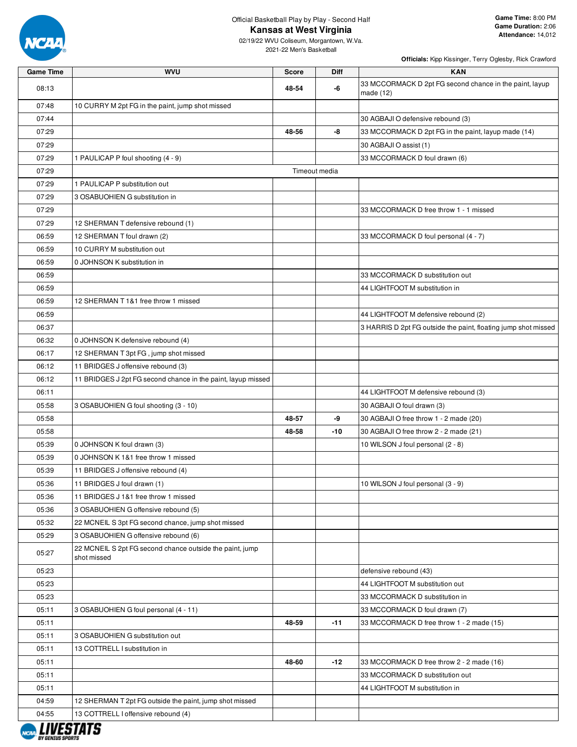

02/19/22 WVU Coliseum, Morgantown, W.Va. 2021-22 Men's Basketball

| <b>Game Time</b> | <b>WVU</b>                                                              | <b>Score</b>  | Diff  | <b>KAN</b>                                                           |
|------------------|-------------------------------------------------------------------------|---------------|-------|----------------------------------------------------------------------|
| 08:13            |                                                                         | 48-54         | -6    | 33 MCCORMACK D 2pt FG second chance in the paint, layup<br>made (12) |
| 07:48            | 10 CURRY M 2pt FG in the paint, jump shot missed                        |               |       |                                                                      |
| 07:44            |                                                                         |               |       | 30 AGBAJI O defensive rebound (3)                                    |
| 07:29            |                                                                         | 48-56         | -8    | 33 MCCORMACK D 2pt FG in the paint, layup made (14)                  |
| 07:29            |                                                                         |               |       | 30 AGBAJI O assist (1)                                               |
| 07:29            | 1 PAULICAP P foul shooting (4 - 9)                                      |               |       | 33 MCCORMACK D foul drawn (6)                                        |
| 07:29            |                                                                         | Timeout media |       |                                                                      |
| 07:29            | 1 PAULICAP P substitution out                                           |               |       |                                                                      |
| 07:29            | 3 OSABUOHIEN G substitution in                                          |               |       |                                                                      |
| 07:29            |                                                                         |               |       | 33 MCCORMACK D free throw 1 - 1 missed                               |
| 07:29            | 12 SHERMAN T defensive rebound (1)                                      |               |       |                                                                      |
| 06:59            | 12 SHERMAN T foul drawn (2)                                             |               |       | 33 MCCORMACK D foul personal (4 - 7)                                 |
| 06:59            | 10 CURRY M substitution out                                             |               |       |                                                                      |
| 06:59            | 0 JOHNSON K substitution in                                             |               |       |                                                                      |
| 06:59            |                                                                         |               |       | 33 MCCORMACK D substitution out                                      |
| 06:59            |                                                                         |               |       | 44 LIGHTFOOT M substitution in                                       |
| 06:59            | 12 SHERMAN T 1&1 free throw 1 missed                                    |               |       |                                                                      |
| 06:59            |                                                                         |               |       | 44 LIGHTFOOT M defensive rebound (2)                                 |
| 06:37            |                                                                         |               |       | 3 HARRIS D 2pt FG outside the paint, floating jump shot missed       |
| 06:32            | 0 JOHNSON K defensive rebound (4)                                       |               |       |                                                                      |
| 06:17            | 12 SHERMAN T 3pt FG, jump shot missed                                   |               |       |                                                                      |
| 06:12            | 11 BRIDGES J offensive rebound (3)                                      |               |       |                                                                      |
| 06:12            | 11 BRIDGES J 2pt FG second chance in the paint, layup missed            |               |       |                                                                      |
| 06:11            |                                                                         |               |       | 44 LIGHTFOOT M defensive rebound (3)                                 |
| 05:58            | 3 OSABUOHIEN G foul shooting (3 - 10)                                   |               |       | 30 AGBAJI O foul drawn (3)                                           |
| 05:58            |                                                                         | 48-57         | -9    | 30 AGBAJI O free throw 1 - 2 made (20)                               |
| 05:58            |                                                                         | 48-58         | -10   | 30 AGBAJI O free throw 2 - 2 made (21)                               |
| 05:39            | 0 JOHNSON K foul drawn (3)                                              |               |       | 10 WILSON J foul personal (2 - 8)                                    |
| 05:39            | 0 JOHNSON K 1&1 free throw 1 missed                                     |               |       |                                                                      |
| 05:39            | 11 BRIDGES J offensive rebound (4)                                      |               |       |                                                                      |
| 05:36            | 11 BRIDGES J foul drawn (1)                                             |               |       | 10 WILSON J foul personal (3 - 9)                                    |
| 05:36            | 11 BRIDGES J 1&1 free throw 1 missed                                    |               |       |                                                                      |
| 05:36            | 3 OSABUOHIEN G offensive rebound (5)                                    |               |       |                                                                      |
| 05:32            | 22 MCNEIL S 3pt FG second chance, jump shot missed                      |               |       |                                                                      |
| 05:29            | 3 OSABUOHIEN G offensive rebound (6)                                    |               |       |                                                                      |
| 05:27            | 22 MCNEIL S 2pt FG second chance outside the paint, jump<br>shot missed |               |       |                                                                      |
| 05:23            |                                                                         |               |       | defensive rebound (43)                                               |
| 05:23            |                                                                         |               |       | 44 LIGHTFOOT M substitution out                                      |
| 05:23            |                                                                         |               |       | 33 MCCORMACK D substitution in                                       |
| 05:11            | 3 OSABUOHIEN G foul personal (4 - 11)                                   |               |       | 33 MCCORMACK D foul drawn (7)                                        |
| 05:11            |                                                                         | 48-59         | $-11$ | 33 MCCORMACK D free throw 1 - 2 made (15)                            |
| 05:11            | 3 OSABUOHIEN G substitution out                                         |               |       |                                                                      |
| 05:11            | 13 COTTRELL I substitution in                                           |               |       |                                                                      |
| 05:11            |                                                                         | 48-60         | -12   | 33 MCCORMACK D free throw 2 - 2 made (16)                            |
| 05:11            |                                                                         |               |       | 33 MCCORMACK D substitution out                                      |
| 05:11            |                                                                         |               |       | 44 LIGHTFOOT M substitution in                                       |
| 04:59            | 12 SHERMAN T 2pt FG outside the paint, jump shot missed                 |               |       |                                                                      |
| 04:55            | 13 COTTRELL I offensive rebound (4)                                     |               |       |                                                                      |
|                  |                                                                         |               |       |                                                                      |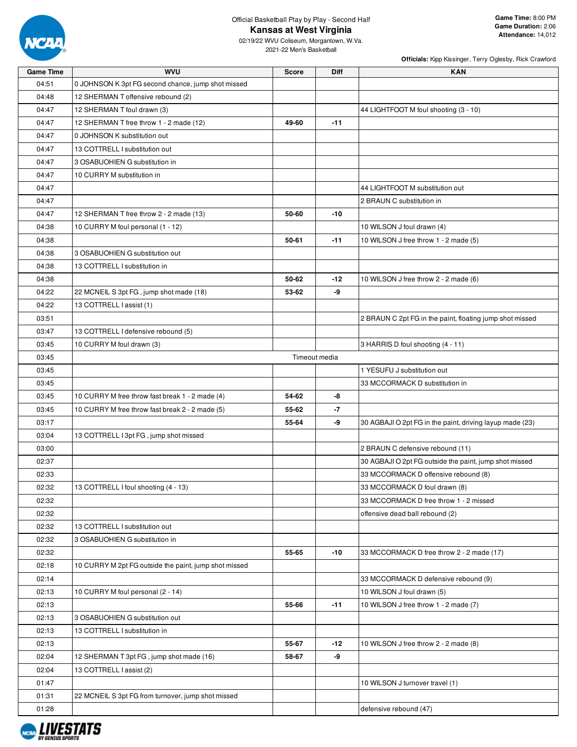

02/19/22 WVU Coliseum, Morgantown, W.Va. 2021-22 Men's Basketball

| <b>Game Time</b> | <b>WVU</b>                                            | <b>Score</b>  | <b>Diff</b> | <b>KAN</b>                                               |
|------------------|-------------------------------------------------------|---------------|-------------|----------------------------------------------------------|
| 04:51            | 0 JOHNSON K 3pt FG second chance, jump shot missed    |               |             |                                                          |
| 04:48            | 12 SHERMAN T offensive rebound (2)                    |               |             |                                                          |
| 04:47            | 12 SHERMAN T foul drawn (3)                           |               |             | 44 LIGHTFOOT M foul shooting (3 - 10)                    |
| 04:47            | 12 SHERMAN T free throw 1 - 2 made (12)               | 49-60         | $-11$       |                                                          |
| 04:47            | 0 JOHNSON K substitution out                          |               |             |                                                          |
| 04:47            | 13 COTTRELL I substitution out                        |               |             |                                                          |
| 04:47            | 3 OSABUOHIEN G substitution in                        |               |             |                                                          |
| 04:47            | 10 CURRY M substitution in                            |               |             |                                                          |
| 04:47            |                                                       |               |             | 44 LIGHTFOOT M substitution out                          |
| 04:47            |                                                       |               |             | 2 BRAUN C substitution in                                |
| 04:47            | 12 SHERMAN T free throw 2 - 2 made (13)               | 50-60         | $-10$       |                                                          |
| 04:38            | 10 CURRY M foul personal (1 - 12)                     |               |             | 10 WILSON J foul drawn (4)                               |
| 04:38            |                                                       | 50-61         | $-11$       | 10 WILSON J free throw 1 - 2 made (5)                    |
| 04:38            | 3 OSABUOHIEN G substitution out                       |               |             |                                                          |
| 04:38            | 13 COTTRELL I substitution in                         |               |             |                                                          |
| 04:38            |                                                       | 50-62         | $-12$       | 10 WILSON J free throw 2 - 2 made (6)                    |
| 04:22            | 22 MCNEIL S 3pt FG, jump shot made (18)               | 53-62         | -9          |                                                          |
| 04:22            | 13 COTTRELL I assist (1)                              |               |             |                                                          |
| 03:51            |                                                       |               |             | 2 BRAUN C 2pt FG in the paint, floating jump shot missed |
| 03:47            | 13 COTTRELL I defensive rebound (5)                   |               |             |                                                          |
| 03:45            | 10 CURRY M foul drawn (3)                             |               |             | 3 HARRIS D foul shooting (4 - 11)                        |
| 03:45            |                                                       | Timeout media |             |                                                          |
| 03:45            |                                                       |               |             | 1 YESUFU J substitution out                              |
| 03:45            |                                                       |               |             | 33 MCCORMACK D substitution in                           |
| 03:45            | 10 CURRY M free throw fast break 1 - 2 made (4)       | 54-62         | -8          |                                                          |
| 03:45            | 10 CURRY M free throw fast break 2 - 2 made (5)       | 55-62         | -7          |                                                          |
| 03:17            |                                                       | 55-64         | -9          | 30 AGBAJI O 2pt FG in the paint, driving layup made (23) |
| 03:04            | 13 COTTRELL I 3pt FG, jump shot missed                |               |             |                                                          |
| 03:00            |                                                       |               |             | 2 BRAUN C defensive rebound (11)                         |
| 02:37            |                                                       |               |             | 30 AGBAJI O 2pt FG outside the paint, jump shot missed   |
| 02:33            |                                                       |               |             | 33 MCCORMACK D offensive rebound (8)                     |
| 02:32            | 13 COTTRELL I foul shooting (4 - 13)                  |               |             | 33 MCCORMACK D foul drawn (8)                            |
| 02:32            |                                                       |               |             | 33 MCCORMACK D free throw 1 - 2 missed                   |
| 02:32            |                                                       |               |             | offensive dead ball rebound (2)                          |
| 02:32            | 13 COTTRELL I substitution out                        |               |             |                                                          |
| 02:32            | 3 OSABUOHIEN G substitution in                        |               |             |                                                          |
| 02:32            |                                                       | 55-65         | $-10$       | 33 MCCORMACK D free throw 2 - 2 made (17)                |
| 02:18            | 10 CURRY M 2pt FG outside the paint, jump shot missed |               |             |                                                          |
| 02:14            |                                                       |               |             | 33 MCCORMACK D defensive rebound (9)                     |
| 02:13            | 10 CURRY M foul personal (2 - 14)                     |               |             | 10 WILSON J foul drawn (5)                               |
| 02:13            |                                                       | 55-66         | $-11$       | 10 WILSON J free throw 1 - 2 made (7)                    |
| 02:13            | 3 OSABUOHIEN G substitution out                       |               |             |                                                          |
| 02:13            | 13 COTTRELL I substitution in                         |               |             |                                                          |
| 02:13            |                                                       | 55-67         | $-12$       | 10 WILSON J free throw 2 - 2 made (8)                    |
| 02:04            | 12 SHERMAN T 3pt FG, jump shot made (16)              | 58-67         | -9          |                                                          |
| 02:04            | 13 COTTRELL I assist (2)                              |               |             |                                                          |
| 01:47            |                                                       |               |             | 10 WILSON J turnover travel (1)                          |
| 01:31            | 22 MCNEIL S 3pt FG from turnover, jump shot missed    |               |             |                                                          |
| 01:28            |                                                       |               |             | defensive rebound (47)                                   |

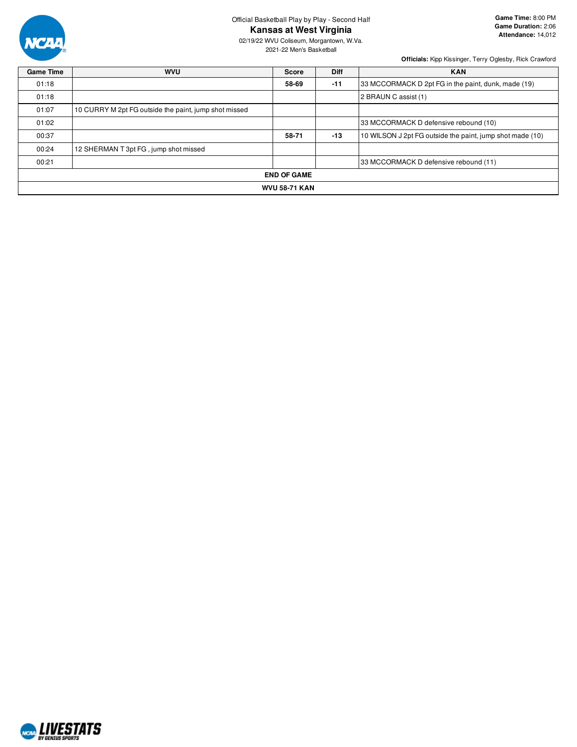

**Game Time:** 8:00 PM **Game Duration:** 2:06 **Attendance:** 14,012

02/19/22 WVU Coliseum, Morgantown, W.Va. 2021-22 Men's Basketball

| <b>Game Time</b> | <b>WVU</b>                                            | <b>Score</b> | <b>Diff</b> | <b>KAN</b>                                                |  |  |  |  |
|------------------|-------------------------------------------------------|--------------|-------------|-----------------------------------------------------------|--|--|--|--|
| 01:18            |                                                       | 58-69        | $-11$       | 33 MCCORMACK D 2pt FG in the paint, dunk, made (19)       |  |  |  |  |
| 01:18            |                                                       |              |             | 2 BRAUN C assist (1)                                      |  |  |  |  |
| 01:07            | 10 CURRY M 2pt FG outside the paint, jump shot missed |              |             |                                                           |  |  |  |  |
| 01:02            |                                                       |              |             | 33 MCCORMACK D defensive rebound (10)                     |  |  |  |  |
| 00:37            |                                                       | 58-71        | $-13$       | 10 WILSON J 2pt FG outside the paint, jump shot made (10) |  |  |  |  |
| 00:24            | 12 SHERMAN T 3pt FG, jump shot missed                 |              |             |                                                           |  |  |  |  |
| 00:21            |                                                       |              |             | 33 MCCORMACK D defensive rebound (11)                     |  |  |  |  |
|                  | <b>END OF GAME</b>                                    |              |             |                                                           |  |  |  |  |
|                  | <b>WVU 58-71 KAN</b>                                  |              |             |                                                           |  |  |  |  |

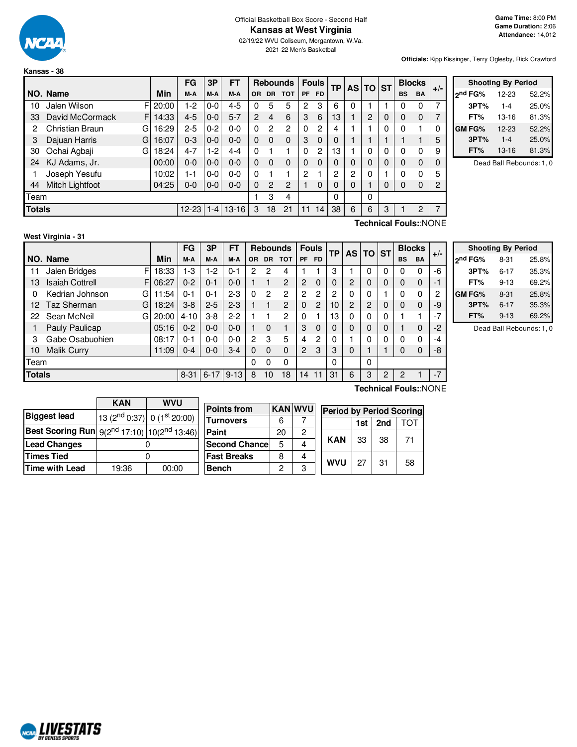

**Kansas - 38**

#### Official Basketball Box Score - Second Half **Kansas at West Virginia**

02/19/22 WVU Coliseum, Morgantown, W.Va. 2021-22 Men's Basketball

**Officials:** Kipp Kissinger, Terry Oglesby, Rick Crawford

|               |                              |          | FG        | 3Р      | FT        |                |                | <b>Rebounds</b> |                | <b>Fouls</b> | ТP |   | AS TO ST       |          |           | <b>Blocks</b>         | $+/-$ |
|---------------|------------------------------|----------|-----------|---------|-----------|----------------|----------------|-----------------|----------------|--------------|----|---|----------------|----------|-----------|-----------------------|-------|
|               | NO. Name                     | Min      | M-A       | M-A     | M-A       | <b>OR</b>      | DR.            | <b>TOT</b>      | <b>PF</b>      | <b>FD</b>    |    |   |                |          | <b>BS</b> | <b>BA</b>             |       |
| 10            | Jalen Wilson                 | FI 20:00 | 1-2       | $0-0$   | $4 - 5$   | 0              | 5              | 5               | 2              | 3            | 6  | 0 |                |          |           | 0                     | ⇁     |
| 33            | David McCormack<br>F         | 14:33    | $4 - 5$   | $0 - 0$ | $5 - 7$   | $\overline{2}$ | 4              | 6               | 3              | 6            | 13 |   | $\overline{2}$ | 0        | 0         | $\mathbf 0$           |       |
| 2             | <b>Christian Braun</b><br>GI | 16:29    | $2 - 5$   | $0 - 2$ | $0 - 0$   | 0              | 2              | 2               | $\Omega$       | 2            | 4  |   |                | 0        |           |                       |       |
| 3             | Dajuan Harris<br>G           | 16:07    | $0 - 3$   | $0-0$   | $0 - 0$   | $\Omega$       | $\Omega$       | $\Omega$        | 3              | 0            | 0  |   |                |          |           |                       | 5     |
| 30            | Ochai Agbaji<br>G            | 18:24    | $4 - 7$   | 1-2     | $4 - 4$   | 0              | 1              |                 | $\Omega$       | 2            | 13 |   | 0              | $\Omega$ |           | 0                     | 9     |
| 24            | KJ Adams, Jr.                | 00:00    | 0-0       | $0-0$   | $0 - 0$   | 0              | $\Omega$       | 0               | 0              | 0            | 0  | 0 | 0              | 0        | 0         | $\mathbf 0$           |       |
|               | Joseph Yesufu                | 10:02    | $1 - 1$   | $0 - 0$ | $0 - 0$   | 0              | 1              |                 | $\overline{c}$ |              | 2  | 2 | 0              |          | $\Omega$  | $\Omega$              | 5     |
| 44            | Mitch Lightfoot              | 04:25    | $0-0$     | $0-0$   | $0 - 0$   | $\Omega$       | $\overline{2}$ | 2               |                | $\Omega$     | 0  | 0 |                | 0        | 0         | $\mathbf 0$           | 2     |
| Team          |                              |          |           |         |           |                | 3              | 4               |                |              | 0  |   | 0              |          |           |                       |       |
| <b>Totals</b> |                              |          | $12 - 23$ | $1 - 4$ | $13 - 16$ | 3              | 18             | 21              | 11             | 14           | 38 | 6 | 6              | 3        |           | 2                     |       |
|               |                              |          |           |         |           |                |                |                 |                |              |    |   |                |          |           | Technical Fouls::NONE |       |

|         | <b>Shooting By Period</b> |       |
|---------|---------------------------|-------|
| ond FG% | 12-23                     | 52.2% |
| 3PT%    | $1 - 4$                   | 25.0% |
| FT%     | 13-16                     | 81.3% |
| GM FG%  | 12-23                     | 52.2% |
| 3PT%    | $1 - 4$                   | 25.0% |
| FT%     | 13-16                     | 81.3% |

Dead Ball Rebounds: 1, 0

## **West Virginia - 31**

 $F$  18:33 F 06:27  $G$  11:54  $G$  18:24 G 20:00 **NO. Name Min FG 3P FT Rebounds Fouls TP AS TO ST**  $\begin{array}{l|c|c|c|c|c|c|c} \text{FG} & \text{3P} & \text{FT} & \text{Rebounds} & \text{Fouls} & \text{TP} & \text{AS} & \text{TO} & \text{ST} & \text{BlockS} & \text{BMO} \end{array}$ 11 Jalen Bridges F | 18:33 | 1-3 | 1-2 | 0-1 | 2 2 4 | 1 1 | 3 | 1 | 0 | 0 | 0 0 | -6 13 Isaiah Cottrell 06:27 0-2 0-1 0-0 1 1 2 2 0 0 2 0 0 0 0 -1 0 Kedrian Johnson 11:54 0-1 0-1 2-3 0 2 2 2 2 2 0 0 1 0 0 2 12 Taz Sherman G | 18:24 | 3-8 | 2-5 | 2-3 | 1 | 1 | 2 | 0 | 2 | 10 | 2 | 2 | 0 | 0 | 0 | 0 | -9 22 Sean McNeil  $G = \begin{bmatrix} 20:00 & 4 & -10 & 3 & 8 & 2 & 1 & 1 & 2 & 0 & 1 & 1 & 3 & 0 & 0 & 0 & 1 & 1 & 1 & -7 \end{bmatrix}$ 1 Pauly Paulicap | 05:16 | 0-2 | 0-0 | 0-0 | 1 0 1 | 3 0 | 0 | 0 | 0 | 0 | 1 0 | -2 3 Gabe Osabuohien 08:17 0-1 0-0 0-0 2 3 5 4 2 0 1 0 0 0 0 -4 10 Malik Curry 11:09 0-4 0-0 3-4 0 0 0 2 3 3 0 1 1 0 0 3-8 Team 0 0 0 0 0 **Totals** 8-31 6-17 9-13 8 10 18 14 11 31 6 3 2 2 1 -7

| <b>Shooting By Period</b> |       |  |  |  |  |  |  |  |  |  |  |
|---------------------------|-------|--|--|--|--|--|--|--|--|--|--|
| $8 - 31$                  | 25.8% |  |  |  |  |  |  |  |  |  |  |
| $6 - 17$                  | 35.3% |  |  |  |  |  |  |  |  |  |  |
| $9 - 13$                  | 69.2% |  |  |  |  |  |  |  |  |  |  |
| $8 - 31$                  | 25.8% |  |  |  |  |  |  |  |  |  |  |
| $6 - 17$                  | 35.3% |  |  |  |  |  |  |  |  |  |  |
| $9 - 13$                  | 69.2% |  |  |  |  |  |  |  |  |  |  |
|                           |       |  |  |  |  |  |  |  |  |  |  |

Dead Ball Rebounds: 1, 0

|                                                                     | <b>KAN</b>                        | <b>WVU</b> |                    |    |                |
|---------------------------------------------------------------------|-----------------------------------|------------|--------------------|----|----------------|
|                                                                     |                                   |            | <b>Points from</b> |    | <b>KAN WVU</b> |
| <b>Biggest lead</b>                                                 | 13 ( $2nd$ 0:37) 0 ( $1st$ 20:00) |            | <b>Turnovers</b>   | 6  |                |
| <b>Best Scoring Run</b> $9(2^{nd} 17:10)$ 10(2 <sup>nd</sup> 13:46) |                                   |            | Paint              | 20 | 2              |
| <b>Lead Changes</b>                                                 |                                   |            | Second Chance      | 5  |                |
| <b>Times Tied</b>                                                   |                                   |            | <b>Fast Breaks</b> | 8  |                |
| <b>Time with Lead</b>                                               | 19:36                             | 00:00      | <b>Bench</b>       | 2  | З              |

**Technical Fouls:**:NONE

| <b>WVU</b> |            | <b>Period by Period Scoring</b> |     |     |  |  |  |  |  |  |  |  |  |  |  |
|------------|------------|---------------------------------|-----|-----|--|--|--|--|--|--|--|--|--|--|--|
|            |            | 1st                             | 2nd | TOT |  |  |  |  |  |  |  |  |  |  |  |
| 2          |            |                                 |     |     |  |  |  |  |  |  |  |  |  |  |  |
| 4          | KAN        | 33                              | 38  | 71  |  |  |  |  |  |  |  |  |  |  |  |
|            | <b>WVU</b> | 27                              | 31  |     |  |  |  |  |  |  |  |  |  |  |  |
| 3          |            |                                 |     | 58  |  |  |  |  |  |  |  |  |  |  |  |

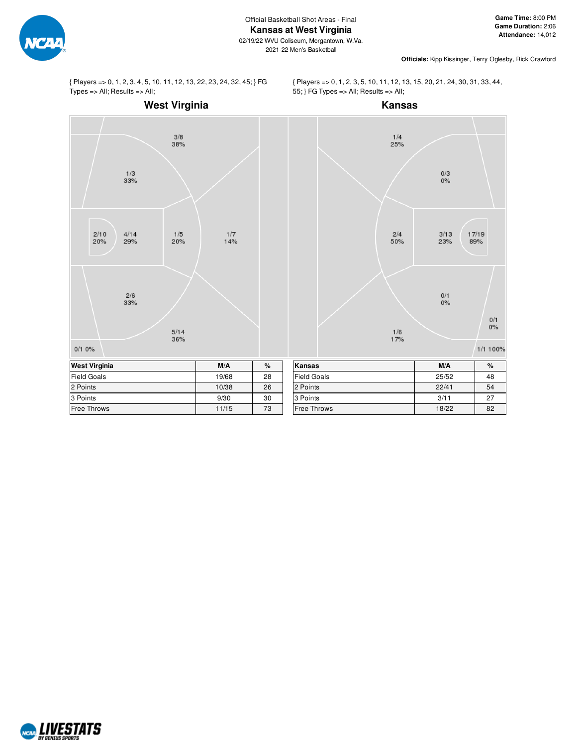

02/19/22 WVU Coliseum, Morgantown, W.Va. 2021-22 Men's Basketball

**Officials:** Kipp Kissinger, Terry Oglesby, Rick Crawford

{ Players => 0, 1, 2, 3, 4, 5, 10, 11, 12, 13, 22, 23, 24, 32, 45; } FG  $Types = |All; Results = |All;$ 

## **West Virginia**

{ Players => 0, 1, 2, 3, 5, 10, 11, 12, 13, 15, 20, 21, 24, 30, 31, 33, 44, 55; } FG Types => All; Results => All;



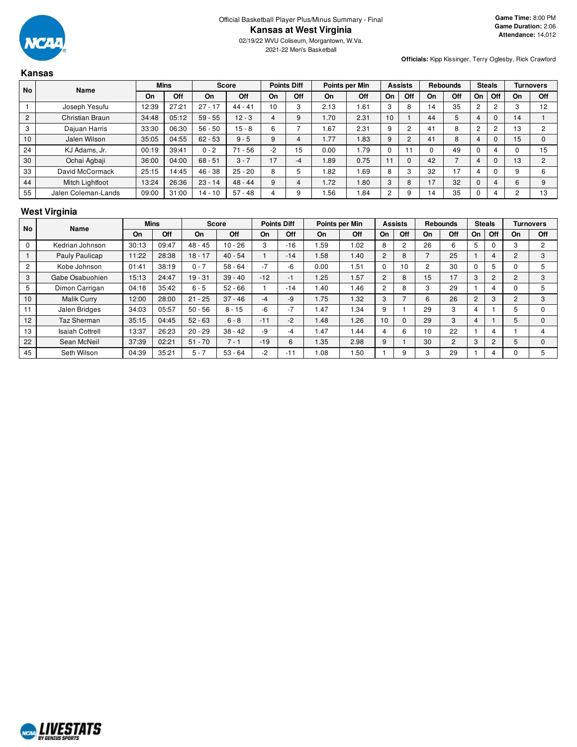

**Kansas**

02/19/22 WVU Coliseum, Morgantown, W.Va. 2021-22 Men's Basketball

**Officials:** Kipp Kissinger, Terry Oglesby, Rick Crawford

#### **No Name Mins Score Points Diff Points per Min Assists Rebounds Steals Turnovers On Off On Off On Off On Off On Off On Off On Off On Off** 1 | Joseph Yesufu | 12:39 | 27:21 | 27 - 17 | 44 - 41 | 10 | 3 | 2.13 | 1.61 | 3 | 8 | 14 | 35 | 2 | 2 | 3 | 12 2 | Christian Braun | 34:48 | 05:12 | 59 - 55 | 12 - 3 | 4 | 9 | 1.70 | 2.31 | 10 | 1 | 44 | 5 | 4 | 0 | 14 | 1 3 | Dajuan Harris | 33:30 | 06:30 | 56 - 50 | 15 - 8 | 6 | 7 | 1.67 | 2.31 | 9 | 2 | 41 | 8 | 2 | 2 | 13 | 2 10 | Jalen Wilson | 35:05 | 04:55 | 62 - 53 | 9 - 5 | 9 | 4 | 1.77 | 1.83 | 9 | 2 | 41 | 8 | 4 | 0 | 15 | 0 24 | KJ Adams, Jr. | 00:19 | 39:41 | 0 - 2 | 71 - 56 | -2 | 15 | 0.00 | 1.79 | 0 | 11 | 0 | 49 | 0 | 4 | 0 | 15 30 | Ochai Agbaji | 36:00 | 04:00 | 68 - 51 | 3 - 7 | 17 | -4 | 1.89 | 0.75 | 11 | 0 | 42 | 7 | 4 | 0 | 13 | 2 33 David McCormack 25:15 | 14:45 | 46 - 38 | 25 - 20 | 8 | 5 | 1.82 | 1.69 | 8 | 3 | 32 | 17 | 4 | 0 | 9 | 6 44 | Mitch Lightfoot | 13:24 | 26:36 | 23 - 14 | 48 - 44 | 9 | 4 | 1.72 | 1.80 | 3 | 8 | 17 | 32 | 0 | 4 | 6 | 9 55 Jalen Coleman-Lands 09:00 31:00 14 - 10 57 - 48 4 9 1.56 1.84 2 9 14 35 0 4 2 13

## **West Virginia**

| <b>No</b>      | Name                   |       | <b>Mins</b> |           | <b>Score</b> |       | <b>Points Diff</b> |      | Points per Min |                | <b>Assists</b> |                          | <b>Rebounds</b> |    | <b>Steals</b> |                | Turnovers      |
|----------------|------------------------|-------|-------------|-----------|--------------|-------|--------------------|------|----------------|----------------|----------------|--------------------------|-----------------|----|---------------|----------------|----------------|
|                |                        | On    | Off         | On        | Off          | On    | Off                | On   | Off            | On             | Off            | On                       | Off             | On | Off           | On             | Off            |
| $\Omega$       | Kedrian Johnson        | 30:13 | 09:47       | $48 - 45$ | $10 - 26$    | 3     | $-16$              | .59  | 1.02           | 8              | 2              | 26                       | 6               | 5  |               | 3              | $\overline{2}$ |
|                | Pauly Paulicap         | 11:22 | 28:38       | $18 - 17$ | $40 - 54$    |       | $-14$              | 1.58 | 1.40           | $\overline{2}$ | 8              | $\overline{\phantom{0}}$ | 25              |    | 4             | $\overline{2}$ | 3              |
| $\overline{2}$ | Kobe Johnson           | 01:41 | 38:19       | $0 - 7$   | $58 - 64$    | $-7$  | -6                 | 0.00 | 1.51           | $\Omega$       | 10             | 2                        | 30              | 0  | 5             |                | 5              |
| 3              | Gabe Osabuohien        | 15:13 | 24:47       | $19 - 31$ | $39 - 40$    | $-12$ | -1                 | 1.25 | 1.57           | $\overline{2}$ | 8              | 15                       | 17              | 3  | 2             | 2              | 3              |
| 5              | Dimon Carrigan         | 04:18 | 35:42       | $6 - 5$   | $52 - 66$    |       | $-14$              | 1.40 | 1.46           | $\overline{2}$ | 8              | 3                        | 29              |    |               |                | 5              |
| 10             | <b>Malik Curry</b>     | 12:00 | 28:00       | $21 - 25$ | $37 - 46$    | -4    | -9                 | 1.75 | 1.32           | 3              |                | 6                        | 26              | 2  | 3             | $\overline{c}$ | 3              |
| 11             | Jalen Bridges          | 34:03 | 05:57       | $50 - 56$ | $8 - 15$     | -6    | $-7$               | 1.47 | 1.34           | 9              |                | 29                       | 3               | 4  |               |                | $\Omega$       |
| 12             | Taz Sherman            | 35:15 | 04:45       | $52 - 63$ | $6 - 8$      | $-11$ | $-2$               | 1.48 | 1.26           | 10             | $\Omega$       | 29                       | 3               | 4  |               | 5.             | $\Omega$       |
| 13             | <b>Isaiah Cottrell</b> | 13:37 | 26:23       | $20 - 29$ | $38 - 42$    | -9    | $-4$               | 1.47 | 1.44           | 4              | 6              | 10                       | 22              |    | 4             |                | 4              |
| 22             | Sean McNeil            | 37:39 | 02:21       | $51 - 70$ | $7 - 1$      | $-19$ | 6                  | 1.35 | 2.98           | 9              |                | 30                       | $\overline{2}$  | 3  | 2             | 5.             | $\Omega$       |
| 45             | Seth Wilson            | 04:39 | 35:21       | $5 - 7$   | $53 - 64$    | $-2$  | $-11$              | 1.08 | 1.50           |                | 9              | 3                        | 29              |    |               |                | 5              |

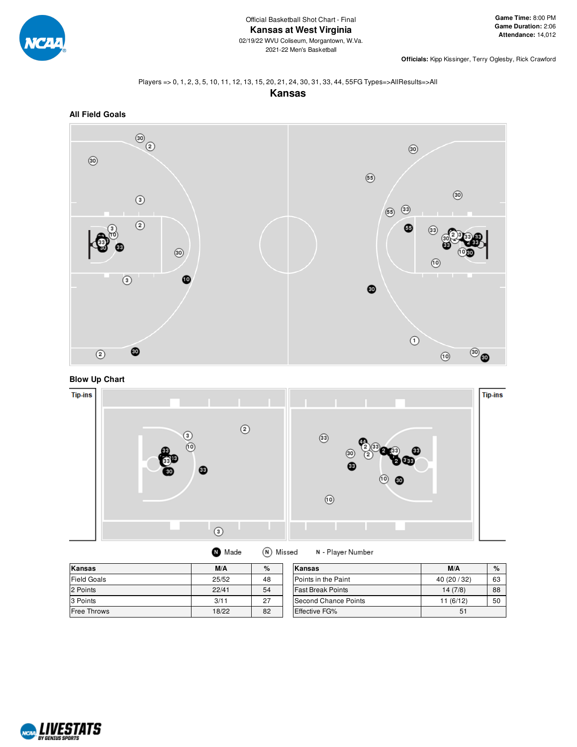

**Officials:** Kipp Kissinger, Terry Oglesby, Rick Crawford

#### Players => 0, 1, 2, 3, 5, 10, 11, 12, 13, 15, 20, 21, 24, 30, 31, 33, 44, 55FG Types=>AllResults=>All





**Blow Up Chart**



| Kansas             | M/A   | %  | Kansas                   | M/A          | %  |
|--------------------|-------|----|--------------------------|--------------|----|
| <b>Field Goals</b> | 25/52 | 48 | Points in the Paint      | 40 (20 / 32) | 63 |
| 2 Points           | 22/41 | 54 | <b>Fast Break Points</b> | 14(7/8)      | 88 |
| 3 Points           | 3/11  | 27 | Second Chance Points     | 11 (6/12)    | 50 |
| <b>Free Throws</b> | 18/22 | 82 | Effective FG%            | 51           |    |

N - Player Number

**O** Made

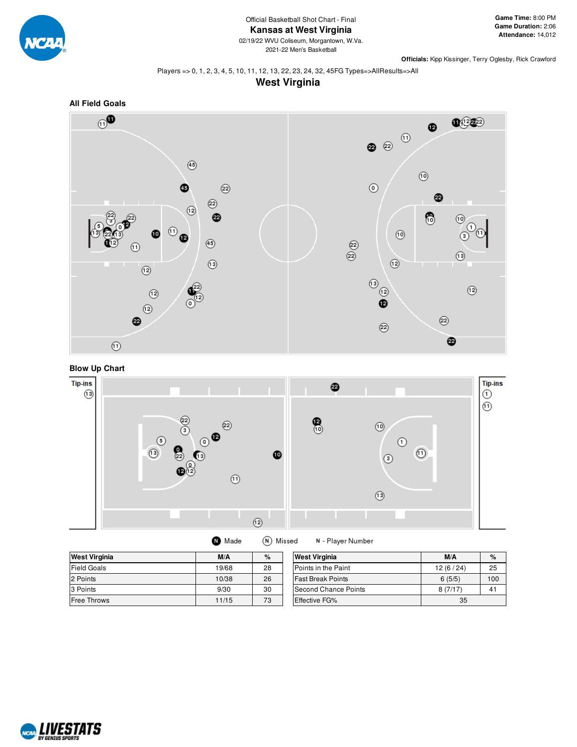

**Officials:** Kipp Kissinger, Terry Oglesby, Rick Crawford

#### Players => 0, 1, 2, 3, 4, 5, 10, 11, 12, 13, 22, 23, 24, 32, 45FG Types=>AllResults=>All









| <b>West Virginia</b> | M/A   | %  | <b>West Virginia</b>     | M/A      | $\%$ |
|----------------------|-------|----|--------------------------|----------|------|
| <b>Field Goals</b>   | 19/68 | 28 | Points in the Paint      | 12(6/24) | 25   |
| 2 Points             | 10/38 | 26 | <b>Fast Break Points</b> | 6(5/5)   | 100  |
| 3 Points             | 9/30  | 30 | Second Chance Points     | 8(7/17)  | 41   |
| <b>Free Throws</b>   | 11/15 | 73 | <b>Effective FG%</b>     | 35       |      |

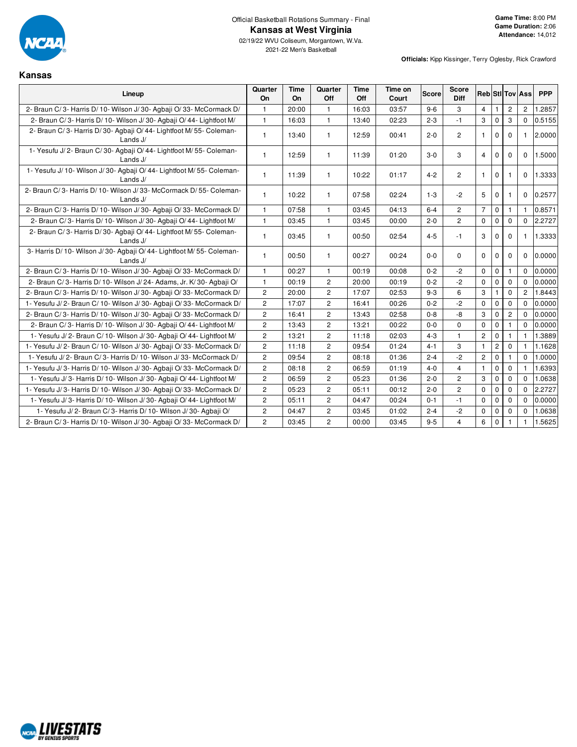

**Kansas**

02/19/22 WVU Coliseum, Morgantown, W.Va. 2021-22 Men's Basketball

| Lineup                                                                               | Quarter<br>On         | Time<br>On | Quarter<br>Off        | Time<br>Off | Time on<br>Court | <b>Score</b> | <b>Score</b><br>Diff | <b>Reb Sti Tov Ass</b> |              |                |                      | <b>PPP</b> |
|--------------------------------------------------------------------------------------|-----------------------|------------|-----------------------|-------------|------------------|--------------|----------------------|------------------------|--------------|----------------|----------------------|------------|
| 2- Braun C/3- Harris D/10- Wilson J/30- Agbaii O/33- McCormack D/                    | 1                     | 20:00      | $\mathbf{1}$          | 16:03       | 03:57            | $9 - 6$      | 3                    | $\overline{4}$         | $\mathbf{1}$ | $\overline{c}$ | $\mathbf{2}^{\circ}$ | 1.2857     |
| 2- Braun C/3- Harris D/10- Wilson J/30- Agbaii O/44- Lightfoot M/                    | 1                     | 16:03      | $\mathbf{1}$          | 13:40       | 02:23            | $2 - 3$      | $-1$                 | 3                      | $\mathbf 0$  | 3              | $\mathbf 0$          | 0.5155     |
| 2- Braun C/3- Harris D/30- Agbaji O/44- Lightfoot M/55- Coleman-<br>Lands J/         | $\mathbf{1}$          | 13:40      | $\mathbf{1}$          | 12:59       | 00:41            | $2 - 0$      | $\overline{c}$       | $\mathbf{1}$           | $\mathbf{0}$ | $\mathbf 0$    | $\mathbf{1}$         | 2.0000     |
| 1- Yesufu J/2- Braun C/30- Agbaji O/44- Lightfoot M/55- Coleman-<br>Lands $J/$       | $\mathbf{1}$          | 12:59      | $\mathbf{1}$          | 11:39       | 01:20            | $3-0$        | 3                    | $\overline{4}$         | $\mathbf 0$  | $\mathbf 0$    | $\mathbf 0$          | 1.5000     |
| 1- Yesufu J/ 10- Wilson J/ 30- Agbaji O/ 44- Lightfoot M/ 55- Coleman-<br>Lands J/   | 1                     | 11:39      | $\mathbf{1}$          | 10:22       | 01:17            | $4 - 2$      | $\overline{2}$       | $\mathbf{1}$           | $\mathbf 0$  | -1             | $\mathbf{0}$         | 1.3333     |
| 2- Braun C/3- Harris D/10- Wilson J/33- McCormack D/55- Coleman-<br>Lands $J/$       | $\mathbf{1}$          | 10:22      | $\mathbf{1}$          | 07:58       | 02:24            | $1 - 3$      | $-2$                 | 5                      | $\mathbf 0$  | $\mathbf{1}$   | 0                    | 0.2577     |
| 2- Braun C/3- Harris D/10- Wilson J/30- Agbaii O/33- McCormack D/                    | 1                     | 07:58      | $\mathbf{1}$          | 03:45       | 04:13            | $6 - 4$      | $\overline{c}$       | $\overline{7}$         | $\mathbf 0$  | $\mathbf{1}$   | $\mathbf{1}$         | 0.8571     |
| 2- Braun C/3- Harris D/10- Wilson J/30- Agbaji O/44- Lightfoot M/                    | 1                     | 03:45      | $\mathbf{1}$          | 03:45       | 00:00            | $2 - 0$      | $\overline{c}$       | 0                      | $\mathbf 0$  | $\mathbf 0$    | 0                    | 2.2727     |
| 2- Braun C/3- Harris D/30- Agbaji O/44- Lightfoot M/55- Coleman-<br>Lands J/         | 1                     | 03:45      | $\mathbf{1}$          | 00:50       | 02:54            | $4 - 5$      | $-1$                 | 3                      | $\Omega$     | $\Omega$       | $\mathbf{1}$         | 1.3333     |
| 3- Harris D/ 10- Wilson J/ 30- Agbaji O/ 44- Lightfoot M/ 55- Coleman-<br>Lands $J/$ | 1                     | 00:50      | $\mathbf{1}$          | 00:27       | 00:24            | $0-0$        | $\Omega$             | $\mathbf 0$            | $\mathbf 0$  | $\mathbf 0$    | $\mathbf 0$          | 0.0000     |
| 2- Braun C/3- Harris D/10- Wilson J/30- Agbaji O/33- McCormack D/                    | 1                     | 00:27      | $\mathbf{1}$          | 00:19       | 00:08            | $0 - 2$      | $-2$                 | $\mathbf 0$            | $\mathbf 0$  | $\mathbf{1}$   | $\mathbf 0$          | 0.0000     |
| 2- Braun C/3- Harris D/10- Wilson J/24- Adams, Jr. K/30- Agbaji O/                   | 1                     | 00:19      | $\overline{2}$        | 20:00       | 00:19            | $0 - 2$      | $-2$                 | $\mathbf 0$            | $\mathbf{0}$ | $\mathbf 0$    | $\Omega$             | 0.0000     |
| 2- Braun C/3- Harris D/10- Wilson J/30- Agbaii O/33- McCormack D/                    | $\overline{c}$        | 20:00      | $\mathbf{2}^{\prime}$ | 17:07       | 02:53            | $9 - 3$      | 6                    | 3                      | 1            | $\mathbf 0$    | $\mathbf{2}$         | 1.8443     |
| 1- Yesufu J/2- Braun C/10- Wilson J/30- Agbaji O/33- McCormack D/                    | $\overline{2}$        | 17:07      | $\overline{c}$        | 16:41       | 00:26            | $0 - 2$      | $-2$                 | $\mathbf 0$            | $\mathbf 0$  | $\mathbf 0$    | $\mathbf 0$          | 0.0000     |
| 2- Braun C/3- Harris D/10- Wilson J/30- Agbaii O/33- McCormack D/                    | $\overline{c}$        | 16:41      | $\overline{2}$        | 13:43       | 02:58            | $0 - 8$      | -8                   | 3                      | $\mathbf 0$  | $\overline{c}$ | 0                    | 0.0000     |
| 2- Braun C/3- Harris D/10- Wilson J/30- Agbaji O/44- Lightfoot M/                    | $\mathbf{2}$          | 13:43      | $\overline{c}$        | 13:21       | 00:22            | $0-0$        | $\mathbf 0$          | $\mathbf 0$            | $\mathbf 0$  | $\mathbf{1}$   | $\mathbf 0$          | 0.0000     |
| 1- Yesufu J/2- Braun C/10- Wilson J/30- Agbaji O/44- Lightfoot M/                    | $\overline{2}$        | 13:21      | $\overline{c}$        | 11:18       | 02:03            | $4 - 3$      | $\mathbf{1}$         | $\overline{2}$         | $\mathbf 0$  | $\mathbf{1}$   | $\mathbf{1}$         | 1.3889     |
| 1- Yesufu J/2- Braun C/10- Wilson J/30- Agbaji O/33- McCormack D/                    | $\overline{c}$        | 11:18      | $\overline{c}$        | 09:54       | 01:24            | $4 - 1$      | 3                    | $\mathbf{1}$           | $\mathbf 2$  | $\mathbf 0$    | 1                    | 1.1628     |
| 1- Yesufu J/2- Braun C/3- Harris D/10- Wilson J/33- McCormack D/                     | $\overline{2}$        | 09:54      | $\overline{c}$        | 08:18       | 01:36            | $2 - 4$      | $-2$                 | $\overline{c}$         | $\mathbf 0$  | $\mathbf{1}$   | $\Omega$             | 1.0000     |
| 1- Yesufu J/3- Harris D/10- Wilson J/30- Agbaji O/33- McCormack D/                   | $\overline{c}$        | 08:18      | $\overline{c}$        | 06:59       | 01:19            | $4 - 0$      | 4                    | $\mathbf{1}$           | $\mathbf 0$  | $\mathbf{0}$   | $\mathbf{1}$         | 1.6393     |
| 1- Yesufu J/3- Harris D/10- Wilson J/30- Agbaji O/44- Lightfoot M/                   | 2                     | 06:59      | $\overline{c}$        | 05:23       | 01:36            | $2 - 0$      | 2                    | 3                      | $\pmb{0}$    | $\mathbf 0$    | $\mathbf 0$          | 1.0638     |
| 1- Yesufu J/3- Harris D/10- Wilson J/30- Agbaji O/33- McCormack D/                   | $\overline{2}$        | 05:23      | $\overline{c}$        | 05:11       | 00:12            | $2 - 0$      | $\overline{c}$       | $\mathbf 0$            | $\mathbf 0$  | $\mathbf 0$    | $\mathbf 0$          | 2.2727     |
| 1- Yesufu J/3- Harris D/10- Wilson J/30- Agbaji O/44- Lightfoot M/                   | $\mathbf{2}^{\prime}$ | 05:11      | $\overline{c}$        | 04:47       | 00:24            | $0 - 1$      | $-1$                 | 0                      | $\mathbf 0$  | $\mathbf 0$    | $\mathbf 0$          | 0.0000     |
| 1- Yesufu J/2- Braun C/3- Harris D/10- Wilson J/30- Agbaji O/                        | $\overline{2}$        | 04:47      | $\overline{2}$        | 03:45       | 01:02            | $2 - 4$      | $-2$                 | 0                      | $\mathbf 0$  | $\mathbf 0$    | $\mathbf 0$          | 1.0638     |
| 2- Braun C/3- Harris D/10- Wilson J/30- Agbaji O/33- McCormack D/                    | 2                     | 03:45      | $\overline{2}$        | 00:00       | 03:45            | $9 - 5$      | 4                    | 6                      | $\mathbf 0$  | $\mathbf{1}$   | $\mathbf{1}$         | 1.5625     |

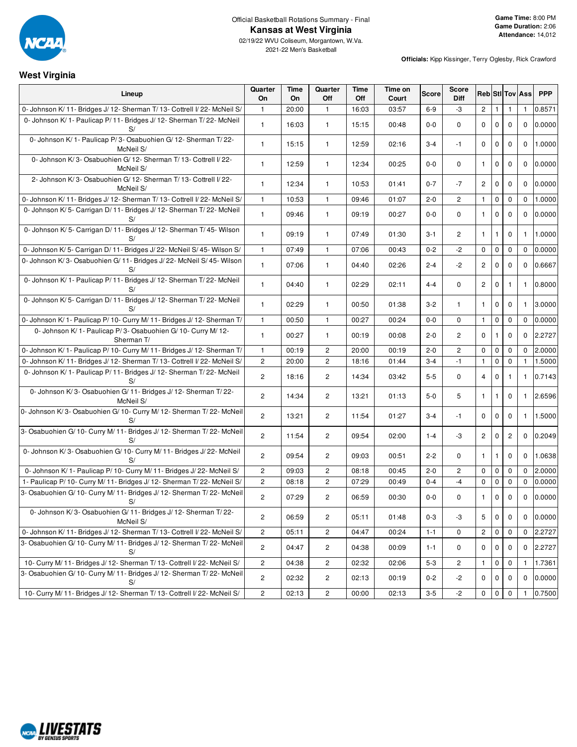

02/19/22 WVU Coliseum, Morgantown, W.Va. 2021-22 Men's Basketball

#### **Officials:** Kipp Kissinger, Terry Oglesby, Rick Crawford

# **West Virginia**

| Lineup                                                                       | Quarter<br>On  | Time<br>On | Quarter<br>Off        | Time<br>Off | Time on<br>Court | <b>Score</b> | Score<br>Diff  | <b>Reb</b> Stl Tov Ass |              |              |              | <b>PPP</b>   |
|------------------------------------------------------------------------------|----------------|------------|-----------------------|-------------|------------------|--------------|----------------|------------------------|--------------|--------------|--------------|--------------|
| 0- Johnson K/11- Bridges J/12- Sherman T/13- Cottrell I/22- McNeil S/        | $\mathbf{1}$   | 20:00      | $\mathbf{1}$          | 16:03       | 03:57            | $6 - 9$      | -3             | $\overline{2}$         | $\mathbf{1}$ | $\mathbf{1}$ | 1            | 0.8571       |
| 0- Johnson K/1- Paulicap P/11- Bridges J/12- Sherman T/22- McNeil<br>S/      | $\mathbf{1}$   | 16:03      | $\mathbf{1}$          | 15:15       | 00:48            | $0-0$        | $\mathbf 0$    | $\mathbf 0$            | 0            | $\mathbf 0$  | $\mathbf{0}$ | 0.0000       |
| 0- Johnson K/1- Paulicap P/3- Osabuohien G/12- Sherman T/22-<br>McNeil S/    | $\mathbf{1}$   | 15:15      | $\mathbf{1}$          | 12:59       | 02:16            | $3 - 4$      | $-1$           | $\mathbf 0$            | $\mathbf 0$  | $\mathbf 0$  | $\mathbf{0}$ | 1.0000       |
| 0- Johnson K/3- Osabuohien G/12- Sherman T/13- Cottrell I/22-<br>McNeil S/   | $\mathbf{1}$   | 12:59      | $\mathbf{1}$          | 12:34       | 00:25            | $0 - 0$      | $\mathbf 0$    | $\mathbf{1}$           | 0            | $\mathbf 0$  | $\mathbf{0}$ | 0.0000       |
| 2- Johnson K/3- Osabuohien G/12- Sherman T/13- Cottrell I/22-<br>McNeil S/   | $\mathbf{1}$   | 12:34      | $\mathbf{1}$          | 10:53       | 01:41            | $0 - 7$      | $-7$           | $\overline{2}$         | 0            | $\mathbf 0$  | $\mathbf{0}$ | 0.0000       |
| 0- Johnson K/ 11- Bridges J/ 12- Sherman T/ 13- Cottrell I/ 22- McNeil S/    | $\mathbf{1}$   | 10:53      | $\mathbf{1}$          | 09:46       | 01:07            | $2 - 0$      | $\overline{2}$ | $\mathbf{1}$           | $\pmb{0}$    | $\mathbf 0$  | 0            | 1.0000       |
| 0- Johnson K/5- Carrigan D/11- Bridges J/12- Sherman T/22- McNeil<br>S/      | $\mathbf{1}$   | 09:46      | $\mathbf{1}$          | 09:19       | 00:27            | $0-0$        | $\mathbf 0$    | $\mathbf{1}$           | 0            | $\mathbf 0$  | 0            | 0.0000       |
| 0- Johnson K/5- Carrigan D/11- Bridges J/12- Sherman T/45- Wilson            | $\mathbf{1}$   | 09:19      | $\mathbf{1}$          | 07:49       | 01:30            | $3 - 1$      | 2              | $\mathbf{1}$           | $\mathbf{1}$ | $\mathbf 0$  | 1.           | 1.0000       |
| 0- Johnson K/ 5- Carrigan D/ 11- Bridges J/ 22- McNeil S/ 45- Wilson S/      | $\mathbf{1}$   | 07:49      | $\mathbf{1}$          | 07:06       | 00:43            | $0 - 2$      | $-2$           | $\mathbf 0$            | 0            | $\mathbf 0$  | $\mathbf 0$  | 0.0000       |
| 0- Johnson K/3- Osabuohien G/11- Bridges J/22- McNeil S/45- Wilson<br>S/     | $\mathbf{1}$   | 07:06      | $\mathbf{1}$          | 04:40       | 02:26            | $2 - 4$      | $-2$           | $\mathbf{2}$           | $\mathbf 0$  | $\mathbf 0$  | $\mathbf 0$  | 0.6667       |
| 0- Johnson K/1- Paulicap P/11- Bridges J/12- Sherman T/22- McNeil<br>S/      | $\mathbf{1}$   | 04:40      | $\mathbf{1}$          | 02:29       | 02:11            | $4 - 4$      | $\mathbf 0$    | $\mathbf{2}$           | $\mathbf 0$  | $\mathbf{1}$ |              | $1 \ 0.8000$ |
| 0- Johnson K/5- Carrigan D/11- Bridges J/12- Sherman T/22- McNeil<br>S/      | $\mathbf{1}$   | 02:29      | $\mathbf{1}$          | 00:50       | 01:38            | $3 - 2$      | $\mathbf{1}$   | $\mathbf{1}$           | 0            | $\mathbf 0$  | 1.           | 3.0000       |
| 0- Johnson K/ 1- Paulicap P/ 10- Curry M/ 11- Bridges J/ 12- Sherman T/      | $\mathbf{1}$   | 00:50      | $\mathbf{1}$          | 00:27       | 00:24            | $0 - 0$      | $\mathbf 0$    | $\mathbf{1}$           | $\pmb{0}$    | 0            | $\mathbf 0$  | 0.0000       |
| 0- Johnson K/1- Paulicap P/3- Osabuohien G/10- Curry M/12-<br>Sherman T/     | $\mathbf{1}$   | 00:27      | $\mathbf{1}$          | 00:19       | 00:08            | $2 - 0$      | $\overline{2}$ | $\mathbf 0$            | $\mathbf{1}$ | $\mathbf 0$  | $\mathbf{0}$ | 2.2727       |
| 0- Johnson K/ 1- Paulicap P/ 10- Curry M/ 11- Bridges J/ 12- Sherman T/      | $\mathbf{1}$   | 00:19      | $\mathbf{2}^{\prime}$ | 20:00       | 00:19            | $2 - 0$      | $\overline{c}$ | $\mathbf 0$            | 0            | $\mathbf 0$  | $\mathbf{0}$ | 2.0000       |
| 0- Johnson K/ 11- Bridges J/ 12- Sherman T/ 13- Cottrell I/ 22- McNeil S/    | $\sqrt{2}$     | 20:00      | $\overline{c}$        | 18:16       | 01:44            | $3 - 4$      | $-1$           | $\mathbf{1}$           | $\mathbf 0$  | $\mathbf 0$  | $\mathbf{1}$ | 1.5000       |
| 0- Johnson K/1- Paulicap P/11- Bridges J/12- Sherman T/22- McNeil<br>S/      | $\overline{c}$ | 18:16      | $\mathbf{2}^{\prime}$ | 14:34       | 03:42            | $5-5$        | $\mathbf 0$    | $\overline{4}$         | $\mathbf 0$  | $\mathbf{1}$ |              | 1 0.7143     |
| 0- Johnson K/3- Osabuohien G/11- Bridges J/12- Sherman T/22-<br>McNeil S/    | $\overline{c}$ | 14:34      | $\mathbf{2}^{\prime}$ | 13:21       | 01:13            | $5-0$        | 5              | $\mathbf{1}$           | $\mathbf{1}$ | $\mathbf 0$  |              | 1 2.6596     |
| 0- Johnson K/3- Osabuohien G/10- Curry M/12- Sherman T/22- McNeil<br>S/      | $\overline{2}$ | 13:21      | $\mathbf{2}^{\prime}$ | 11:54       | 01:27            | $3 - 4$      | $-1$           | $\mathbf 0$            | 0            | $\mathbf 0$  | 1.           | 1.5000       |
| 3- Osabuohien G/ 10- Curry M/ 11- Bridges J/ 12- Sherman T/ 22- McNeil<br>S/ | $\overline{c}$ | 11:54      | $\mathbf{2}^{\prime}$ | 09:54       | 02:00            | $1 - 4$      | $-3$           | $\overline{c}$         | $\mathbf 0$  | $\mathbf{2}$ | $\mathbf{0}$ | 0.2049       |
| 0- Johnson K/3- Osabuohien G/10- Curry M/11- Bridges J/22- McNeil<br>S/      | $\overline{2}$ | 09:54      | $\mathbf{2}^{\prime}$ | 09:03       | 00:51            | $2 - 2$      | $\mathbf 0$    | $\mathbf{1}$           | $\mathbf{1}$ | $\mathbf 0$  | $\mathbf 0$  | 1.0638       |
| 0- Johnson K/ 1- Paulicap P/ 10- Curry M/ 11- Bridges J/ 22- McNeil S/       | $\mathbf{2}$   | 09:03      | $\mathbf{2}^{\prime}$ | 08:18       | 00:45            | $2 - 0$      | $\mathbf{2}$   | $\mathbf 0$            | 0            | $\mathbf 0$  | $\mathbf{0}$ | 2.0000       |
| 1- Paulicap P/ 10- Curry M/ 11- Bridges J/ 12- Sherman T/ 22- McNeil S/      | $\overline{2}$ | 08:18      | $\overline{c}$        | 07:29       | 00:49            | $0 - 4$      | $-4$           | $\mathbf 0$            | 0            | $\mathbf 0$  | $\mathbf 0$  | 0.0000       |
| 3- Osabuohien G/10- Curry M/11- Bridges J/12- Sherman T/22- McNeil<br>S/     | $\overline{c}$ | 07:29      | $\mathbf{2}^{\prime}$ | 06:59       | 00:30            | $0-0$        | 0              | $\mathbf{1}$           | 0            | $\mathbf 0$  | 0            | 0.0000       |
| 0- Johnson K/3- Osabuohien G/11- Bridges J/12- Sherman T/22-<br>McNeil S/    | $\sqrt{2}$     | 06:59      | $\overline{c}$        | 05:11       | 01:48            | $0 - 3$      | -3             | 5                      | $\pmb{0}$    | $\mathsf 0$  | 0            | 0.0000       |
| 0- Johnson K/11- Bridges J/12- Sherman T/13- Cottrell I/22- McNeil S/        | $\overline{2}$ | 05:11      | $\mathbf{2}$          | 04:47       | 00:24            | $1 - 1$      | $\mathbf 0$    | $\overline{2}$         | $\mathsf{O}$ | $\mathbf 0$  | $\mathbf{0}$ | 2.2727       |
| 3- Osabuohien G/ 10- Curry M/ 11- Bridges J/ 12- Sherman T/ 22- McNeil<br>S/ | $\overline{c}$ | 04:47      | $\overline{c}$        | 04:38       | 00:09            | $1 - 1$      | 0              | 0                      | 0            | $\mathbf 0$  | $\mathbf{0}$ | 2.2727       |
| 10- Curry M/11- Bridges J/12- Sherman T/13- Cottrell I/22- McNeil S/         | $\overline{c}$ | 04:38      | $\overline{c}$        | 02:32       | 02:06            | $5 - 3$      | $\overline{c}$ | $\mathbf{1}$           | 0            | 0            | 1            | 1.7361       |
| 3- Osabuohien G/10- Curry M/11- Bridges J/12- Sherman T/22- McNeil<br>S/     | $\overline{c}$ | 02:32      | $\overline{c}$        | 02:13       | 00:19            | $0 - 2$      | $-2$           | 0                      | 0            | 0            | 0            | 0.0000       |
| 10- Curry M/ 11- Bridges J/ 12- Sherman T/ 13- Cottrell I/ 22- McNeil S/     | $\mathbf{2}$   | 02:13      | $\overline{c}$        | 00:00       | 02:13            | $3-5$        | -2             | 0                      | 0            | 0            | $\mathbf{1}$ | 0.7500       |

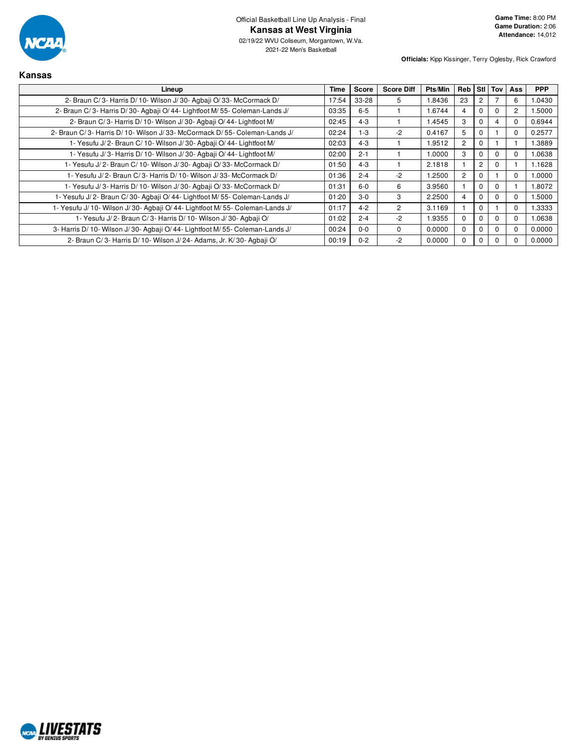

2021-22 Men's Basketball

| <b>Kansas</b>                                                                  |       |              |                   |         |                |                |          |                |            |
|--------------------------------------------------------------------------------|-------|--------------|-------------------|---------|----------------|----------------|----------|----------------|------------|
| Lineup                                                                         | Time  | <b>Score</b> | <b>Score Diff</b> | Pts/Min | <b>Reb</b>     |                | Stil Toy | Ass            | <b>PPP</b> |
| 2- Braun C/3- Harris D/10- Wilson J/30- Agbaii O/33- McCormack D/              | 17:54 | 33-28        | 5                 | 1.8436  | 23             |                |          | 6              | 1.0430     |
| 2- Braun C/3- Harris D/30- Agbaji O/44- Lightfoot M/55- Coleman-Lands J/       | 03:35 | $6 - 5$      |                   | 1.6744  | 4              |                | $\Omega$ | $\overline{c}$ | 1.5000     |
| 2- Braun C/3- Harris D/10- Wilson J/30- Agbaji O/44- Lightfoot M/              | 02:45 | $4 - 3$      |                   | 1.4545  | 3              |                | 4        | 0              | 0.6944     |
| 2- Braun C/3- Harris D/10- Wilson J/33- McCormack D/55- Coleman-Lands J/       | 02:24 | $1-3$        | $-2$              | 0.4167  | 5              |                |          | 0              | 0.2577     |
| 1- Yesufu J/2- Braun C/10- Wilson J/30- Agbaji O/44- Lightfoot M/              | 02:03 | $4 - 3$      |                   | 1.9512  | $\overline{2}$ |                |          |                | 1.3889     |
| 1- Yesufu J/3- Harris D/10- Wilson J/30- Agbaji O/44- Lightfoot M/             | 02:00 | $2 - 1$      |                   | 1.0000  | 3              |                | $\Omega$ | 0              | 1.0638     |
| 1- Yesufu J/2- Braun C/10- Wilson J/30- Agbaji O/33- McCormack D/              | 01:50 | $4 - 3$      |                   | 2.1818  |                | $\overline{2}$ | 0        |                | 1.1628     |
| 1- Yesufu J/ 2- Braun C/ 3- Harris D/ 10- Wilson J/ 33- McCormack D/           | 01:36 | $2 - 4$      | $-2$              | 1.2500  | $\overline{2}$ |                |          | 0              | 1.0000     |
| 1- Yesufu J/3- Harris D/10- Wilson J/30- Agbaji O/33- McCormack D/             | 01:31 | $6-0$        | 6                 | 3.9560  |                | O              | $\Omega$ |                | 1.8072     |
| 1- Yesufu J/2- Braun C/30- Agbaji O/44- Lightfoot M/55- Coleman-Lands J/       | 01:20 | $3-0$        | 3                 | 2.2500  | 4              |                | $\Omega$ | $\Omega$       | 1.5000     |
| 1- Yesufu J/10- Wilson J/30- Agbaji O/44- Lightfoot M/55- Coleman-Lands J/     | 01:17 | $4 - 2$      | $\overline{2}$    | 3.1169  |                | ſ              |          | 0              | 1.3333     |
| 1- Yesufu J/2- Braun C/3- Harris D/10- Wilson J/30- Agbaji O/                  | 01:02 | $2 - 4$      | $-2$              | 1.9355  | $\Omega$       |                | $\Omega$ | $\Omega$       | 1.0638     |
| 3- Harris D/ 10- Wilson J/ 30- Agbaji O/ 44- Lightfoot M/ 55- Coleman-Lands J/ | 00:24 | $0 - 0$      | $\Omega$          | 0.0000  | $\Omega$       |                | $\Omega$ | 0              | 0.0000     |
| 2- Braun C/3- Harris D/10- Wilson J/24- Adams, Jr. K/30- Agbaii O/             | 00:19 | $0 - 2$      | $-2$              | 0.0000  | 0              | 0              |          |                | 0.0000     |